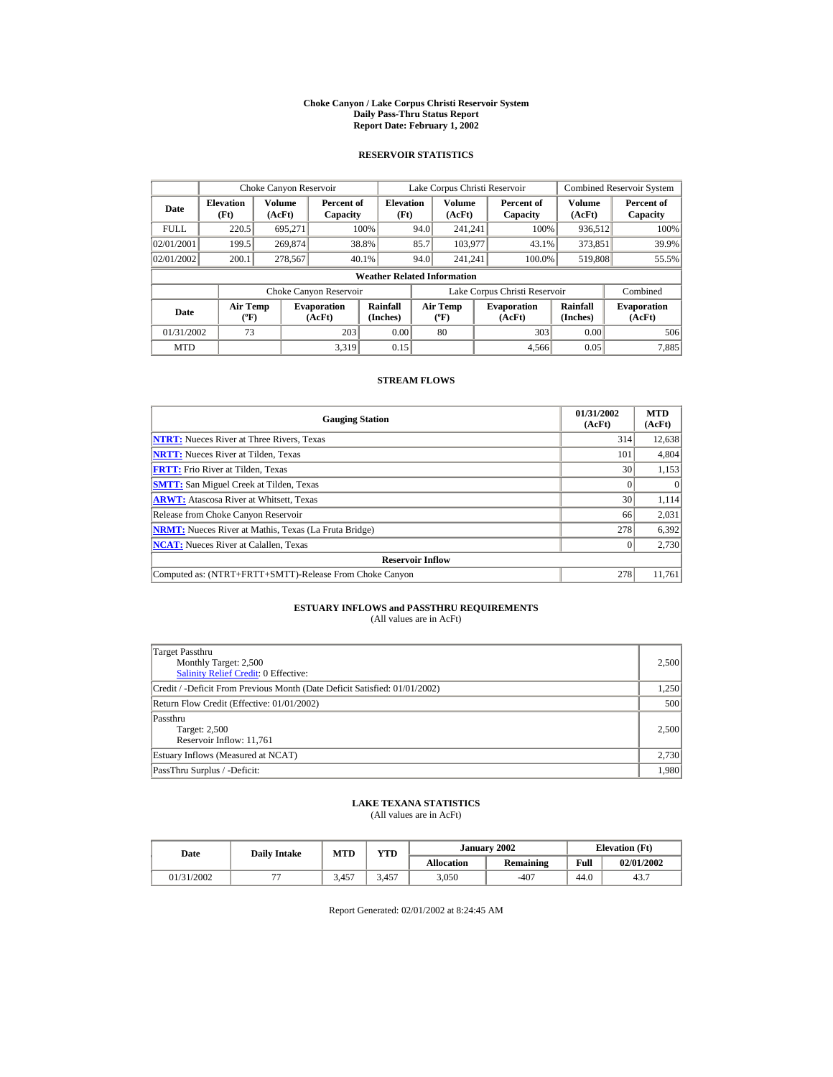#### **Choke Canyon / Lake Corpus Christi Reservoir System Daily Pass-Thru Status Report Report Date: February 1, 2002**

### **RESERVOIR STATISTICS**

|             | Choke Canyon Reservoir                      |                  |                              |                          |      | Lake Corpus Christi Reservoir            |  |                               |                      | <b>Combined Reservoir System</b> |  |  |
|-------------|---------------------------------------------|------------------|------------------------------|--------------------------|------|------------------------------------------|--|-------------------------------|----------------------|----------------------------------|--|--|
| Date        | <b>Elevation</b><br>(Ft)                    | Volume<br>(AcFt) | Percent of<br>Capacity       | <b>Elevation</b><br>(Ft) |      | <b>Volume</b><br>(AcFt)                  |  | Percent of<br>Capacity        | Volume<br>(AcFt)     | Percent of<br>Capacity           |  |  |
| <b>FULL</b> | 220.5                                       | 695.271          |                              | 100%                     | 94.0 | 241.241                                  |  | 100%                          | 936,512              | 100%                             |  |  |
| 02/01/2001  | 199.5                                       | 269,874          |                              | 38.8%                    | 85.7 | 103,977                                  |  | 43.1%                         | 373,851              | 39.9%                            |  |  |
| 02/01/2002  | 200.1                                       | 278,567          |                              | 40.1%                    | 94.0 | 241.241                                  |  | 100.0%                        | 519,808              | 55.5%                            |  |  |
|             | <b>Weather Related Information</b>          |                  |                              |                          |      |                                          |  |                               |                      |                                  |  |  |
|             |                                             |                  | Choke Canyon Reservoir       |                          |      |                                          |  | Lake Corpus Christi Reservoir |                      | Combined                         |  |  |
| Date        | <b>Air Temp</b><br>$({}^{\circ}\mathrm{F})$ |                  | <b>Evaporation</b><br>(AcFt) | Rainfall<br>(Inches)     |      | <b>Air Temp</b><br>$({}^{\circ}{\rm F})$ |  | <b>Evaporation</b><br>(AcFt)  | Rainfall<br>(Inches) | <b>Evaporation</b><br>(AcFt)     |  |  |
| 01/31/2002  | 73                                          |                  | 203                          | 0.00                     |      | 80                                       |  | 303                           | 0.00                 | 506                              |  |  |
| <b>MTD</b>  |                                             |                  | 3.319                        | 0.15                     |      |                                          |  | 4.566                         | 0.05                 | 7,885                            |  |  |

### **STREAM FLOWS**

| <b>Gauging Station</b>                                       | 01/31/2002<br>(AcFt) | <b>MTD</b><br>(AcFt) |
|--------------------------------------------------------------|----------------------|----------------------|
| <b>NTRT:</b> Nueces River at Three Rivers, Texas             | 314                  | 12,638               |
| <b>NRTT:</b> Nueces River at Tilden, Texas                   | 101                  | 4,804                |
| <b>FRTT:</b> Frio River at Tilden, Texas                     | 30                   | 1,153                |
| <b>SMTT:</b> San Miguel Creek at Tilden, Texas               |                      | $\theta$             |
| <b>ARWT:</b> Atascosa River at Whitsett, Texas               | 30 <sup>1</sup>      | 1,114                |
| Release from Choke Canyon Reservoir                          | 66                   | 2,031                |
| <b>NRMT:</b> Nueces River at Mathis, Texas (La Fruta Bridge) | 278                  | 6,392                |
| <b>NCAT:</b> Nueces River at Calallen, Texas                 |                      | 2,730                |
| <b>Reservoir Inflow</b>                                      |                      |                      |
| Computed as: (NTRT+FRTT+SMTT)-Release From Choke Canyon      | 278                  | 11,761               |

# **ESTUARY INFLOWS and PASSTHRU REQUIREMENTS**<br>(All values are in AcFt)

| Target Passthru<br>Monthly Target: 2,500<br><b>Salinity Relief Credit: 0 Effective:</b> | 2,500 |
|-----------------------------------------------------------------------------------------|-------|
| Credit / -Deficit From Previous Month (Date Deficit Satisfied: 01/01/2002)              | 1,250 |
| Return Flow Credit (Effective: 01/01/2002)                                              | 500   |
| Passthru<br>Target: 2,500<br>Reservoir Inflow: 11,761                                   | 2.500 |
| Estuary Inflows (Measured at NCAT)                                                      | 2,730 |
| PassThru Surplus / -Deficit:                                                            | 1,980 |

## **LAKE TEXANA STATISTICS**

(All values are in AcFt)

| Date       | <b>Daily Intake</b>      | <b>MTD</b> | $\mathbf{v}\mathbf{T}\mathbf{D}$ |                   | January 2002 |      | <b>Elevation</b> (Ft) |
|------------|--------------------------|------------|----------------------------------|-------------------|--------------|------|-----------------------|
|            |                          |            |                                  | <b>Allocation</b> | Remaining    | Full | 02/01/2002            |
| 01/31/2002 | $\overline{\phantom{a}}$ | 3.457      | 3.457                            | 3,050             | $-407$       | 44.0 | 43.7                  |

Report Generated: 02/01/2002 at 8:24:45 AM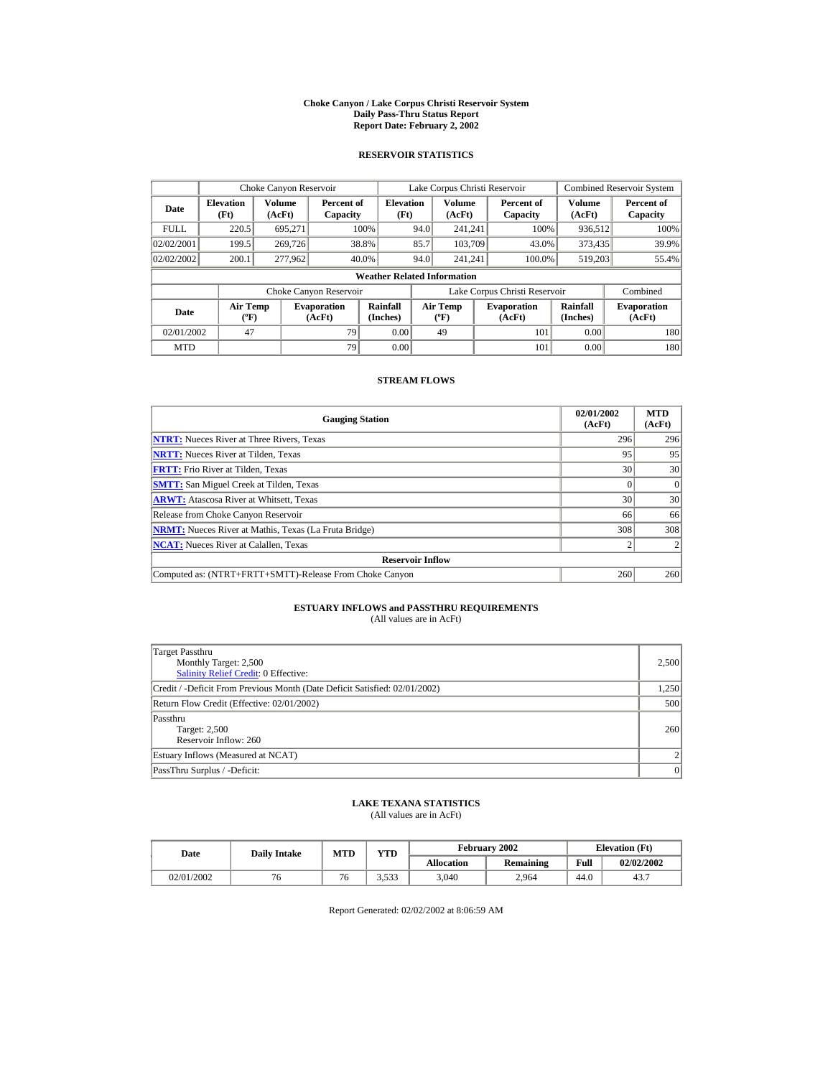#### **Choke Canyon / Lake Corpus Christi Reservoir System Daily Pass-Thru Status Report Report Date: February 2, 2002**

### **RESERVOIR STATISTICS**

|             | Choke Canyon Reservoir                      |                  |                              |                          |      | Lake Corpus Christi Reservoir             |  |                               |                      | <b>Combined Reservoir System</b> |  |  |  |
|-------------|---------------------------------------------|------------------|------------------------------|--------------------------|------|-------------------------------------------|--|-------------------------------|----------------------|----------------------------------|--|--|--|
| Date        | <b>Elevation</b><br>(Ft)                    | Volume<br>(AcFt) | Percent of<br>Capacity       | <b>Elevation</b><br>(Ft) |      | Volume<br>(AcFt)                          |  | Percent of<br>Capacity        | Volume<br>(AcFt)     | Percent of<br>Capacity           |  |  |  |
| <b>FULL</b> | 220.5                                       | 695.271          |                              | 100%                     | 94.0 | 241.241                                   |  | 100%                          | 936,512              | 100%                             |  |  |  |
| 02/02/2001  | 199.5                                       | 269,726          |                              | 38.8%                    | 85.7 | 103.709                                   |  | 43.0%                         | 373,435              | 39.9%                            |  |  |  |
| 02/02/2002  | 200.1                                       | 277,962          |                              | 40.0%                    | 94.0 | 241.241                                   |  | 100.0%                        | 519.203              | 55.4%                            |  |  |  |
|             | <b>Weather Related Information</b>          |                  |                              |                          |      |                                           |  |                               |                      |                                  |  |  |  |
|             |                                             |                  | Choke Canyon Reservoir       |                          |      |                                           |  | Lake Corpus Christi Reservoir |                      | Combined                         |  |  |  |
| Date        | <b>Air Temp</b><br>$({}^{\circ}\mathrm{F})$ |                  | <b>Evaporation</b><br>(AcFt) | Rainfall<br>(Inches)     |      | <b>Air Temp</b><br>$({}^{\circ}\text{F})$ |  | <b>Evaporation</b><br>(AcFt)  | Rainfall<br>(Inches) | <b>Evaporation</b><br>(AcFt)     |  |  |  |
| 02/01/2002  | 47                                          |                  | 79                           | 0.00                     |      | 49                                        |  | 101                           | 0.00                 | 180                              |  |  |  |
| <b>MTD</b>  |                                             |                  | 79                           | 0.00                     |      |                                           |  | 101                           | 0.00                 | 180                              |  |  |  |

# **STREAM FLOWS**

| <b>Gauging Station</b>                                       | 02/01/2002<br>(AcFt) | <b>MTD</b><br>(AcFt) |
|--------------------------------------------------------------|----------------------|----------------------|
| <b>NTRT:</b> Nueces River at Three Rivers, Texas             | 296                  | 296                  |
| <b>NRTT:</b> Nueces River at Tilden, Texas                   | 95                   | 95                   |
| <b>FRTT:</b> Frio River at Tilden, Texas                     | 30                   | 30                   |
| <b>SMTT:</b> San Miguel Creek at Tilden, Texas               |                      | $\Omega$             |
| <b>ARWT:</b> Atascosa River at Whitsett, Texas               | 30                   | 30                   |
| Release from Choke Canyon Reservoir                          | 66                   | 66                   |
| <b>NRMT:</b> Nueces River at Mathis, Texas (La Fruta Bridge) | 308                  | 308                  |
| <b>NCAT:</b> Nueces River at Calallen, Texas                 |                      |                      |
| <b>Reservoir Inflow</b>                                      |                      |                      |
| Computed as: (NTRT+FRTT+SMTT)-Release From Choke Canyon      | 260                  | 260                  |

# **ESTUARY INFLOWS and PASSTHRU REQUIREMENTS**<br>(All values are in AcFt)

| Target Passthru<br>Monthly Target: 2,500<br><b>Salinity Relief Credit: 0 Effective:</b> | 2,500                    |
|-----------------------------------------------------------------------------------------|--------------------------|
| Credit / -Deficit From Previous Month (Date Deficit Satisfied: 02/01/2002)              | 1,250                    |
| Return Flow Credit (Effective: 02/01/2002)                                              | 500                      |
| Passthru<br>Target: 2,500<br>Reservoir Inflow: 260                                      | 260                      |
| Estuary Inflows (Measured at NCAT)                                                      | $\overline{\mathcal{L}}$ |
| PassThru Surplus / -Deficit:                                                            | 0                        |

## **LAKE TEXANA STATISTICS**

(All values are in AcFt)

| Date       | <b>Daily Intake</b> | <b>MTD</b> | $\mathbf{v}\mathbf{T}\mathbf{D}$ |                   | February 2002 | <b>Elevation</b> (Ft) |            |
|------------|---------------------|------------|----------------------------------|-------------------|---------------|-----------------------|------------|
|            |                     |            |                                  | <b>Allocation</b> | Remaining     | Full                  | 02/02/2002 |
| 02/01/2002 | 6                   | 76         | 3.533                            | 3,040             | 2.964         | 44.0                  | 43.7       |

Report Generated: 02/02/2002 at 8:06:59 AM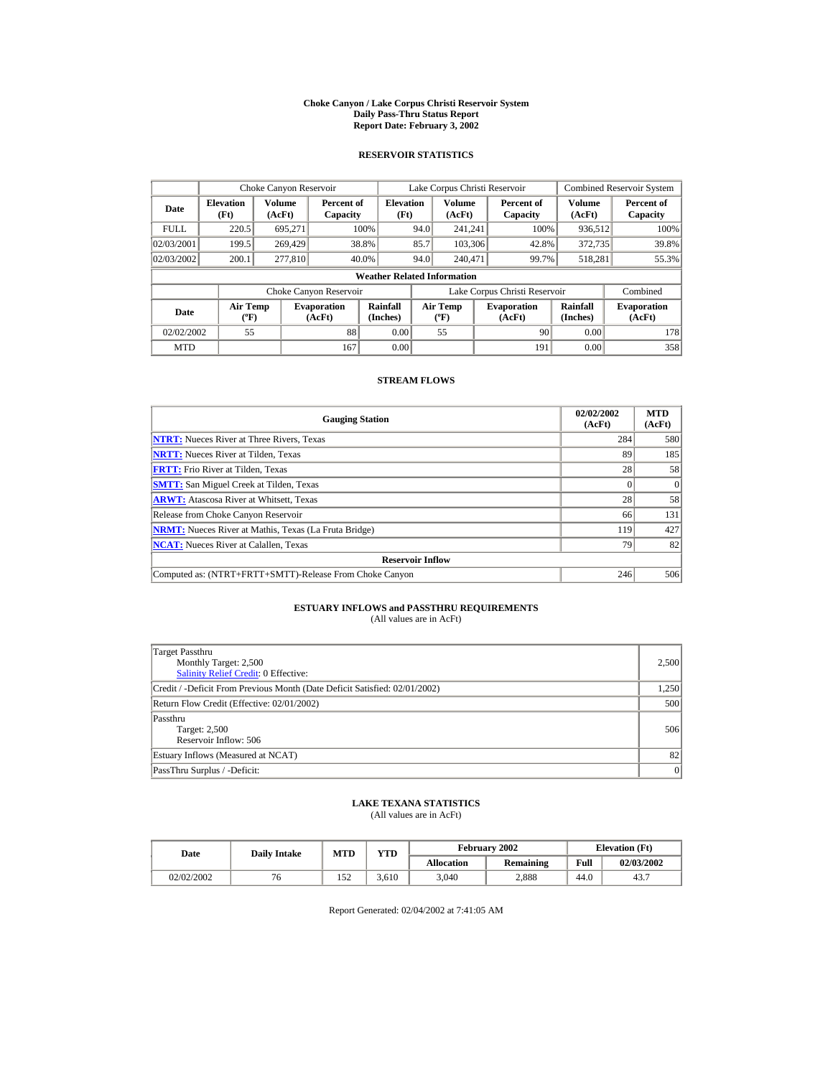#### **Choke Canyon / Lake Corpus Christi Reservoir System Daily Pass-Thru Status Report Report Date: February 3, 2002**

### **RESERVOIR STATISTICS**

|             | Choke Canyon Reservoir                      |                  |                              |                          | Lake Corpus Christi Reservoir |                                           |  |                               |                      | <b>Combined Reservoir System</b> |  |  |
|-------------|---------------------------------------------|------------------|------------------------------|--------------------------|-------------------------------|-------------------------------------------|--|-------------------------------|----------------------|----------------------------------|--|--|
| Date        | <b>Elevation</b><br>(Ft)                    | Volume<br>(AcFt) | Percent of<br>Capacity       | <b>Elevation</b><br>(Ft) |                               | Volume<br>(AcFt)                          |  | Percent of<br>Capacity        | Volume<br>(AcFt)     | Percent of<br>Capacity           |  |  |
| <b>FULL</b> | 220.5                                       | 695.271          |                              | 100%                     | 94.0                          | 241.241                                   |  | 100%                          | 936,512              | 100%                             |  |  |
| 02/03/2001  | 199.5                                       | 269,429          |                              | 38.8%                    | 85.7                          | 103,306                                   |  | 42.8%                         | 372,735              | 39.8%                            |  |  |
| 02/03/2002  | 200.1                                       | 277,810          |                              | 40.0%                    | 94.0                          | 240,471                                   |  | 99.7%                         | 518.281              | 55.3%                            |  |  |
|             | <b>Weather Related Information</b>          |                  |                              |                          |                               |                                           |  |                               |                      |                                  |  |  |
|             |                                             |                  | Choke Canyon Reservoir       |                          |                               |                                           |  | Lake Corpus Christi Reservoir |                      | Combined                         |  |  |
| Date        | <b>Air Temp</b><br>$({}^{\circ}\mathrm{F})$ |                  | <b>Evaporation</b><br>(AcFt) | Rainfall<br>(Inches)     |                               | <b>Air Temp</b><br>$({}^{\circ}\text{F})$ |  | <b>Evaporation</b><br>(AcFt)  | Rainfall<br>(Inches) | <b>Evaporation</b><br>(AcFt)     |  |  |
| 02/02/2002  | 55                                          |                  | 88                           | 0.00                     |                               | 55                                        |  | 90                            | 0.00                 | 178                              |  |  |
| <b>MTD</b>  |                                             |                  | 167                          | 0.00                     |                               |                                           |  | 191                           | 0.00                 | 358                              |  |  |

### **STREAM FLOWS**

| <b>Gauging Station</b>                                       | 02/02/2002<br>(AcFt) | <b>MTD</b><br>(AcFt) |
|--------------------------------------------------------------|----------------------|----------------------|
| <b>NTRT:</b> Nueces River at Three Rivers, Texas             | 284                  | 580                  |
| <b>NRTT:</b> Nueces River at Tilden, Texas                   | 89                   | 185                  |
| <b>FRTT:</b> Frio River at Tilden, Texas                     | 28                   | 58                   |
| <b>SMTT:</b> San Miguel Creek at Tilden, Texas               |                      | $\Omega$             |
| <b>ARWT:</b> Atascosa River at Whitsett, Texas               | 28                   | 58                   |
| Release from Choke Canyon Reservoir                          | 66                   | 131                  |
| <b>NRMT:</b> Nueces River at Mathis, Texas (La Fruta Bridge) | 119                  | 427                  |
| <b>NCAT:</b> Nueces River at Calallen, Texas                 | 79                   | 82                   |
| <b>Reservoir Inflow</b>                                      |                      |                      |
| Computed as: (NTRT+FRTT+SMTT)-Release From Choke Canyon      | 246                  | 506                  |

# **ESTUARY INFLOWS and PASSTHRU REQUIREMENTS**<br>(All values are in AcFt)

| Target Passthru<br>Monthly Target: 2,500<br><b>Salinity Relief Credit: 0 Effective:</b> | 2,500 |
|-----------------------------------------------------------------------------------------|-------|
| Credit / -Deficit From Previous Month (Date Deficit Satisfied: 02/01/2002)              | 1,250 |
| Return Flow Credit (Effective: 02/01/2002)                                              | 500   |
| Passthru<br><b>Target: 2,500</b><br>Reservoir Inflow: 506                               | 506   |
| Estuary Inflows (Measured at NCAT)                                                      | 82    |
| PassThru Surplus / -Deficit:                                                            | 0     |

## **LAKE TEXANA STATISTICS**

(All values are in AcFt)

| Date       | <b>Daily Intake</b> | <b>MTD</b>  | $\mathbf{v}\mathbf{T}\mathbf{D}$ |                   | February 2002 |      | <b>Elevation</b> (Ft) |
|------------|---------------------|-------------|----------------------------------|-------------------|---------------|------|-----------------------|
|            |                     |             |                                  | <b>Allocation</b> | Remaining     | Full | 02/03/2002            |
| 02/02/2002 | '0                  | 50<br>1 J 4 | .610                             | 3,040             | 2,888         | 44.0 | 43.7                  |

Report Generated: 02/04/2002 at 7:41:05 AM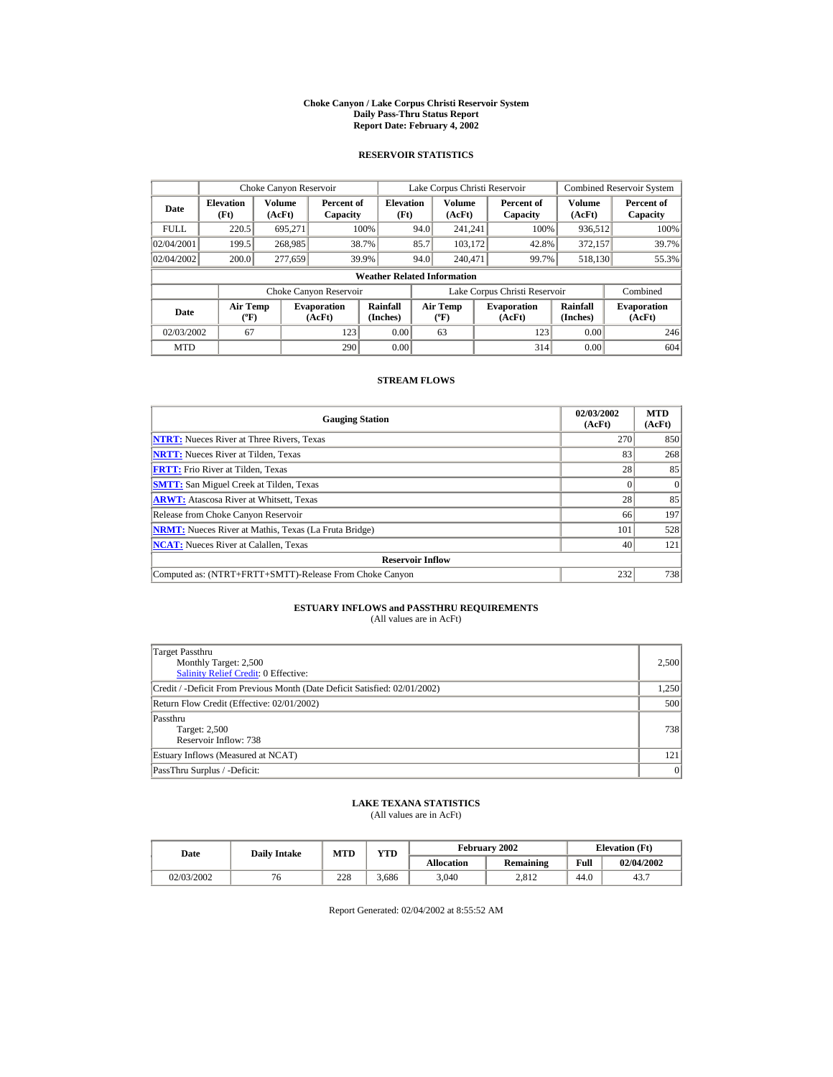#### **Choke Canyon / Lake Corpus Christi Reservoir System Daily Pass-Thru Status Report Report Date: February 4, 2002**

### **RESERVOIR STATISTICS**

|             | Choke Canyon Reservoir                      |                  |                              |                          |      | Lake Corpus Christi Reservoir             |  |                               |                      | <b>Combined Reservoir System</b> |  |  |
|-------------|---------------------------------------------|------------------|------------------------------|--------------------------|------|-------------------------------------------|--|-------------------------------|----------------------|----------------------------------|--|--|
| Date        | <b>Elevation</b><br>(Ft)                    | Volume<br>(AcFt) | Percent of<br>Capacity       | <b>Elevation</b><br>(Ft) |      | Volume<br>(AcFt)                          |  | Percent of<br>Capacity        | Volume<br>(AcFt)     | Percent of<br>Capacity           |  |  |
| <b>FULL</b> | 220.5                                       | 695.271          |                              | 100%                     | 94.0 | 241.241                                   |  | 100%                          | 936,512              | 100%                             |  |  |
| 02/04/2001  | 199.5                                       | 268,985          |                              | 38.7%                    | 85.7 | 103.172                                   |  | 42.8%                         | 372,157              | 39.7%                            |  |  |
| 02/04/2002  | 200.0                                       | 277,659          |                              | 39.9%                    | 94.0 | 240,471                                   |  | 99.7%                         | 518.130              | 55.3%                            |  |  |
|             | <b>Weather Related Information</b>          |                  |                              |                          |      |                                           |  |                               |                      |                                  |  |  |
|             |                                             |                  | Choke Canyon Reservoir       |                          |      |                                           |  | Lake Corpus Christi Reservoir |                      | Combined                         |  |  |
| Date        | <b>Air Temp</b><br>$({}^{\circ}\mathrm{F})$ |                  | <b>Evaporation</b><br>(AcFt) | Rainfall<br>(Inches)     |      | <b>Air Temp</b><br>$({}^{\circ}\text{F})$ |  | <b>Evaporation</b><br>(AcFt)  | Rainfall<br>(Inches) | <b>Evaporation</b><br>(AcFt)     |  |  |
| 02/03/2002  | 67                                          |                  | 123                          | 0.00                     |      | 63                                        |  | 123                           | 0.00                 | 246                              |  |  |
| <b>MTD</b>  |                                             |                  | 290                          | 0.00                     |      |                                           |  | 314                           | 0.00                 | 604                              |  |  |

# **STREAM FLOWS**

| <b>Gauging Station</b>                                       | 02/03/2002<br>(AcFt) | <b>MTD</b><br>(AcFt) |
|--------------------------------------------------------------|----------------------|----------------------|
| <b>NTRT:</b> Nueces River at Three Rivers, Texas             | 270                  | 850                  |
| <b>NRTT:</b> Nueces River at Tilden, Texas                   | 83                   | 268                  |
| <b>FRTT:</b> Frio River at Tilden, Texas                     | 28                   | 85                   |
| <b>SMTT:</b> San Miguel Creek at Tilden, Texas               |                      | $\Omega$             |
| <b>ARWT:</b> Atascosa River at Whitsett, Texas               | 28                   | 85                   |
| Release from Choke Canyon Reservoir                          | 66                   | 197                  |
| <b>NRMT:</b> Nueces River at Mathis, Texas (La Fruta Bridge) | 101                  | 528                  |
| <b>NCAT:</b> Nueces River at Calallen, Texas                 | 40                   | 121                  |
| <b>Reservoir Inflow</b>                                      |                      |                      |
| Computed as: (NTRT+FRTT+SMTT)-Release From Choke Canyon      | 232                  | 738                  |

# **ESTUARY INFLOWS and PASSTHRU REQUIREMENTS**<br>(All values are in AcFt)

| Target Passthru<br>Monthly Target: 2,500<br>Salinity Relief Credit: 0 Effective: | 2,500 |
|----------------------------------------------------------------------------------|-------|
| Credit / -Deficit From Previous Month (Date Deficit Satisfied: 02/01/2002)       | 1,250 |
| Return Flow Credit (Effective: 02/01/2002)                                       | 500   |
| Passthru<br><b>Target: 2,500</b><br>Reservoir Inflow: 738                        | 738   |
| Estuary Inflows (Measured at NCAT)                                               | 121   |
| PassThru Surplus / -Deficit:                                                     | 0     |

## **LAKE TEXANA STATISTICS**

(All values are in AcFt)

| Date       | <b>Daily Intake</b> | YTD<br><b>MTD</b> |      |                   | <b>February 2002</b> | <b>Elevation</b> (Ft) |            |
|------------|---------------------|-------------------|------|-------------------|----------------------|-----------------------|------------|
|            |                     |                   |      | <b>Allocation</b> | Remaining            | Full                  | 02/04/2002 |
| 02/03/2002 | 76                  | 228               | .686 | 3.040             | 2.812                | 44.0                  | 43.7       |

Report Generated: 02/04/2002 at 8:55:52 AM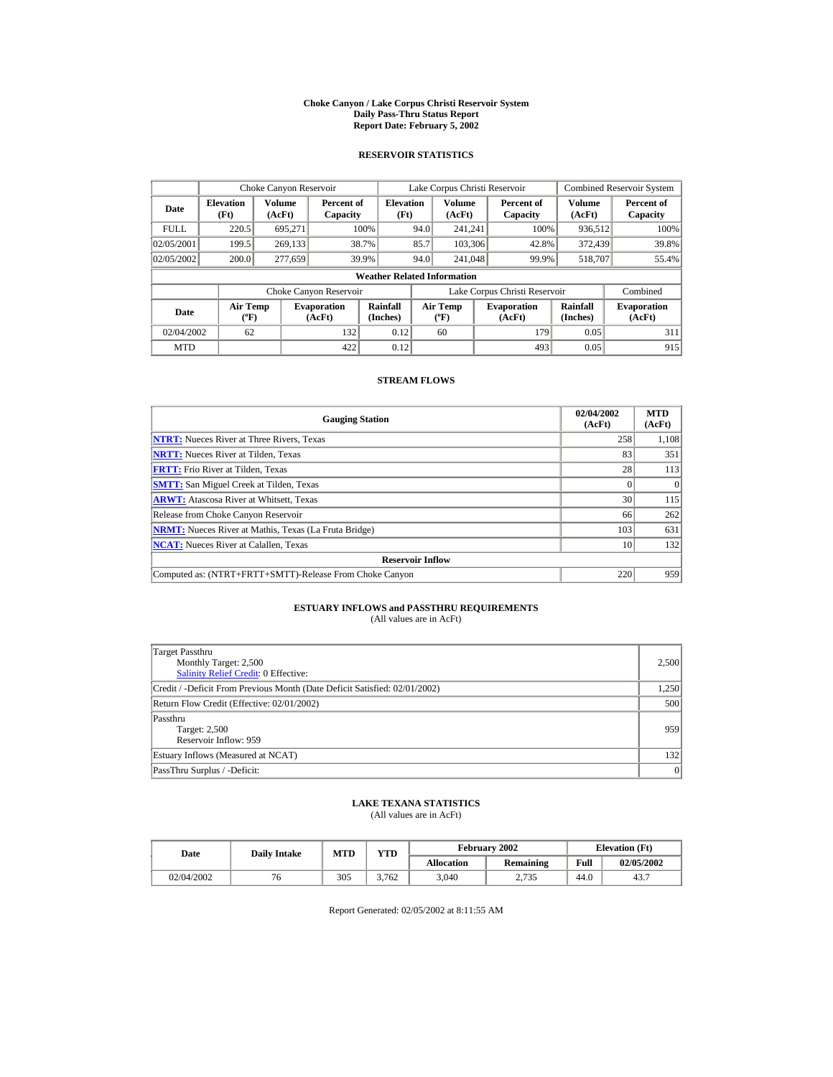#### **Choke Canyon / Lake Corpus Christi Reservoir System Daily Pass-Thru Status Report Report Date: February 5, 2002**

### **RESERVOIR STATISTICS**

|             | Choke Canyon Reservoir                      |                  |                              |                          |      | Lake Corpus Christi Reservoir    |  |                               |                      | <b>Combined Reservoir System</b> |  |  |
|-------------|---------------------------------------------|------------------|------------------------------|--------------------------|------|----------------------------------|--|-------------------------------|----------------------|----------------------------------|--|--|
| Date        | <b>Elevation</b><br>(Ft)                    | Volume<br>(AcFt) | Percent of<br>Capacity       | <b>Elevation</b><br>(Ft) |      | Volume<br>(AcFt)                 |  | Percent of<br>Capacity        | Volume<br>(AcFt)     | Percent of<br>Capacity           |  |  |
| <b>FULL</b> | 220.5                                       | 695.271          |                              | 100%                     | 94.0 | 241.241                          |  | 100%                          | 936,512              | 100%                             |  |  |
| 02/05/2001  | 199.5                                       | 269,133          |                              | 38.7%                    | 85.7 | 103,306                          |  | 42.8%                         | 372,439              | 39.8%                            |  |  |
| 02/05/2002  | 200.0                                       | 277,659          |                              | 39.9%                    | 94.0 | 241,048                          |  | 99.9%                         | 518,707              | 55.4%                            |  |  |
|             | <b>Weather Related Information</b>          |                  |                              |                          |      |                                  |  |                               |                      |                                  |  |  |
|             |                                             |                  | Choke Canyon Reservoir       |                          |      |                                  |  | Lake Corpus Christi Reservoir |                      | Combined                         |  |  |
| Date        | <b>Air Temp</b><br>$({}^{\circ}\mathrm{F})$ |                  | <b>Evaporation</b><br>(AcFt) | Rainfall<br>(Inches)     |      | <b>Air Temp</b><br>$(^{\circ}F)$ |  | <b>Evaporation</b><br>(AcFt)  | Rainfall<br>(Inches) | <b>Evaporation</b><br>(AcFt)     |  |  |
| 02/04/2002  | 62                                          |                  | 132                          | 0.12                     |      | 60                               |  | 179                           | 0.05                 | 311                              |  |  |
| <b>MTD</b>  |                                             |                  | 422                          | 0.12                     |      |                                  |  | 493                           | 0.05                 | 915                              |  |  |

### **STREAM FLOWS**

| <b>Gauging Station</b>                                       | 02/04/2002<br>(AcFt) | <b>MTD</b><br>(AcFt) |
|--------------------------------------------------------------|----------------------|----------------------|
| <b>NTRT:</b> Nueces River at Three Rivers, Texas             | 258                  | 1,108                |
| <b>NRTT:</b> Nueces River at Tilden, Texas                   | 83                   | 351                  |
| <b>FRTT:</b> Frio River at Tilden. Texas                     | 28                   | 113                  |
| <b>SMTT:</b> San Miguel Creek at Tilden, Texas               |                      | $\Omega$             |
| <b>ARWT:</b> Atascosa River at Whitsett, Texas               | 30 <sup>1</sup>      | 115                  |
| Release from Choke Canyon Reservoir                          | 66                   | 262                  |
| <b>NRMT:</b> Nueces River at Mathis, Texas (La Fruta Bridge) | 103                  | 631                  |
| <b>NCAT:</b> Nueces River at Calallen. Texas                 | 10                   | 132                  |
| <b>Reservoir Inflow</b>                                      |                      |                      |
| Computed as: (NTRT+FRTT+SMTT)-Release From Choke Canyon      | 220                  | 959                  |

# **ESTUARY INFLOWS and PASSTHRU REQUIREMENTS**<br>(All values are in AcFt)

| Target Passthru<br>Monthly Target: 2,500<br><b>Salinity Relief Credit: 0 Effective:</b> | 2,500 |
|-----------------------------------------------------------------------------------------|-------|
| Credit / -Deficit From Previous Month (Date Deficit Satisfied: 02/01/2002)              | 1,250 |
| Return Flow Credit (Effective: 02/01/2002)                                              | 500   |
| Passthru<br><b>Target: 2,500</b><br>Reservoir Inflow: 959                               | 959   |
| Estuary Inflows (Measured at NCAT)                                                      | 132   |
| PassThru Surplus / -Deficit:                                                            | 0     |

## **LAKE TEXANA STATISTICS**

(All values are in AcFt)

| Date       | <b>Daily Intake</b> | <b>MTD</b> | VTD   |                   | February 2002 | <b>Elevation</b> (Ft) |            |
|------------|---------------------|------------|-------|-------------------|---------------|-----------------------|------------|
|            |                     |            |       | <b>Allocation</b> | Remaining     | Full                  | 02/05/2002 |
| 02/04/2002 | 6                   | 305        | 3.762 | 3,040             | 2,735         | 44.0                  | 43.7       |

Report Generated: 02/05/2002 at 8:11:55 AM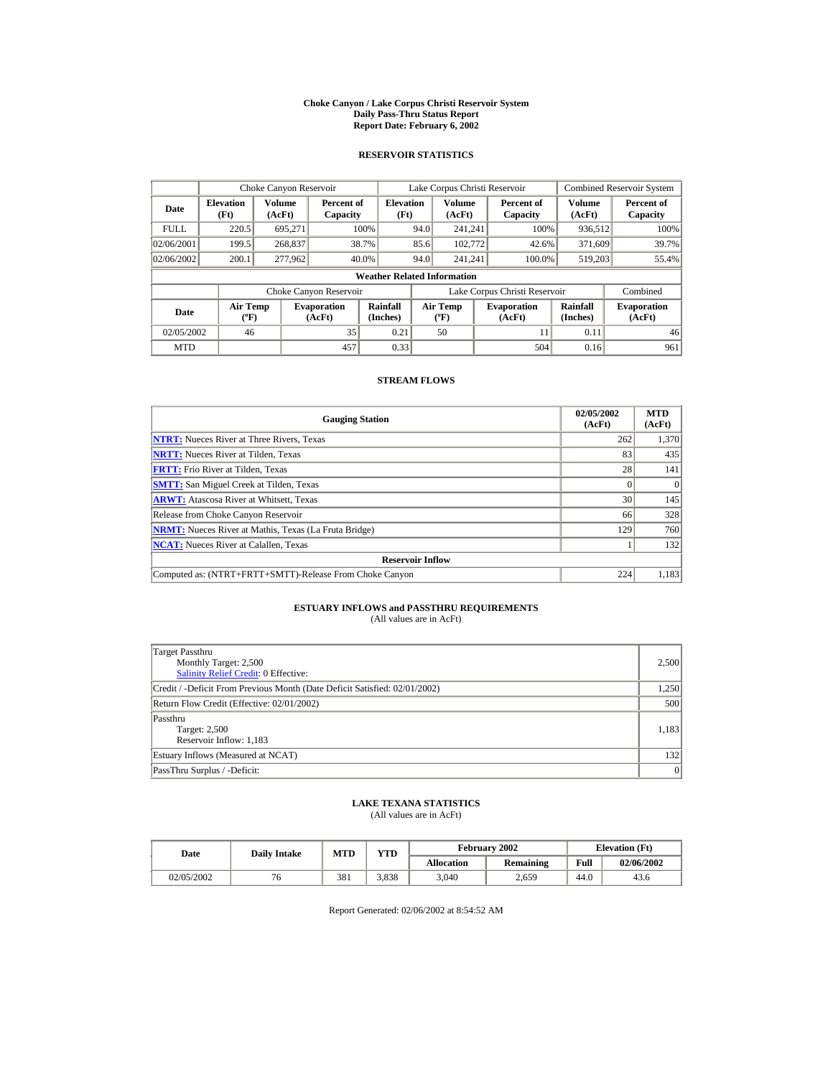#### **Choke Canyon / Lake Corpus Christi Reservoir System Daily Pass-Thru Status Report Report Date: February 6, 2002**

### **RESERVOIR STATISTICS**

|             | Choke Canyon Reservoir                      |                  |                              |                          |      | Lake Corpus Christi Reservoir             |  |                               |                      | <b>Combined Reservoir System</b> |  |  |
|-------------|---------------------------------------------|------------------|------------------------------|--------------------------|------|-------------------------------------------|--|-------------------------------|----------------------|----------------------------------|--|--|
| Date        | <b>Elevation</b><br>(Ft)                    | Volume<br>(AcFt) | Percent of<br>Capacity       | <b>Elevation</b><br>(Ft) |      | Volume<br>(AcFt)                          |  | Percent of<br>Capacity        | Volume<br>(AcFt)     | Percent of<br>Capacity           |  |  |
| <b>FULL</b> | 220.5                                       | 695.271          |                              | 100%                     | 94.0 | 241.241                                   |  | 100%                          | 936,512              | 100%                             |  |  |
| 02/06/2001  | 199.5                                       | 268,837          |                              | 38.7%                    | 85.6 | 102,772                                   |  | 42.6%                         | 371,609              | 39.7%                            |  |  |
| 02/06/2002  | 200.1                                       | 277,962          |                              | 40.0%                    | 94.0 | 241.241                                   |  | 100.0%                        | 519.203              | 55.4%                            |  |  |
|             | <b>Weather Related Information</b>          |                  |                              |                          |      |                                           |  |                               |                      |                                  |  |  |
|             |                                             |                  | Choke Canyon Reservoir       |                          |      |                                           |  | Lake Corpus Christi Reservoir |                      | Combined                         |  |  |
| Date        | <b>Air Temp</b><br>$({}^{\circ}\mathrm{F})$ |                  | <b>Evaporation</b><br>(AcFt) | Rainfall<br>(Inches)     |      | <b>Air Temp</b><br>$({}^{\circ}\text{F})$ |  | <b>Evaporation</b><br>(AcFt)  | Rainfall<br>(Inches) | <b>Evaporation</b><br>(AcFt)     |  |  |
| 02/05/2002  | 46                                          |                  | 35                           | 0.21                     |      | 50                                        |  | 11                            | 0.11                 | 46                               |  |  |
| <b>MTD</b>  |                                             |                  | 457                          | 0.33                     |      |                                           |  | 504                           | 0.16                 | 961                              |  |  |

### **STREAM FLOWS**

| <b>Gauging Station</b>                                       | 02/05/2002<br>(AcFt) | <b>MTD</b><br>(AcFt) |
|--------------------------------------------------------------|----------------------|----------------------|
| <b>NTRT:</b> Nueces River at Three Rivers, Texas             | 262                  | 1,370                |
| <b>NRTT:</b> Nueces River at Tilden, Texas                   | 83                   | 435                  |
| <b>FRTT:</b> Frio River at Tilden, Texas                     | 28                   | 141                  |
| <b>SMTT:</b> San Miguel Creek at Tilden, Texas               |                      | $\Omega$             |
| <b>ARWT:</b> Atascosa River at Whitsett, Texas               | 30 <sup>1</sup>      | 145                  |
| Release from Choke Canyon Reservoir                          | 66                   | 328                  |
| <b>NRMT:</b> Nueces River at Mathis, Texas (La Fruta Bridge) | 129                  | 760                  |
| <b>NCAT:</b> Nueces River at Calallen, Texas                 |                      | 132                  |
| <b>Reservoir Inflow</b>                                      |                      |                      |
| Computed as: (NTRT+FRTT+SMTT)-Release From Choke Canyon      | 224                  | 1,183                |

# **ESTUARY INFLOWS and PASSTHRU REQUIREMENTS**<br>(All values are in AcFt)

| Target Passthru<br>Monthly Target: 2,500<br>Salinity Relief Credit: 0 Effective: | 2,500 |
|----------------------------------------------------------------------------------|-------|
| Credit / -Deficit From Previous Month (Date Deficit Satisfied: 02/01/2002)       | 1,250 |
| Return Flow Credit (Effective: 02/01/2002)                                       | 500   |
| Passthru<br>Target: 2,500<br>Reservoir Inflow: 1,183                             | 1,183 |
| Estuary Inflows (Measured at NCAT)                                               | 132   |
| PassThru Surplus / -Deficit:                                                     | 0     |

## **LAKE TEXANA STATISTICS**

(All values are in AcFt)

| Date       | <b>Daily Intake</b> | <b>MTD</b> | YTD   |                   | <b>February 2002</b> | <b>Elevation</b> (Ft) |            |
|------------|---------------------|------------|-------|-------------------|----------------------|-----------------------|------------|
|            |                     |            |       | <b>Allocation</b> | Remaining            | Full                  | 02/06/2002 |
| 02/05/2002 | 76                  | 381        | 3.838 | 3.040             | 2.659                | 44.0                  | 43.6       |

Report Generated: 02/06/2002 at 8:54:52 AM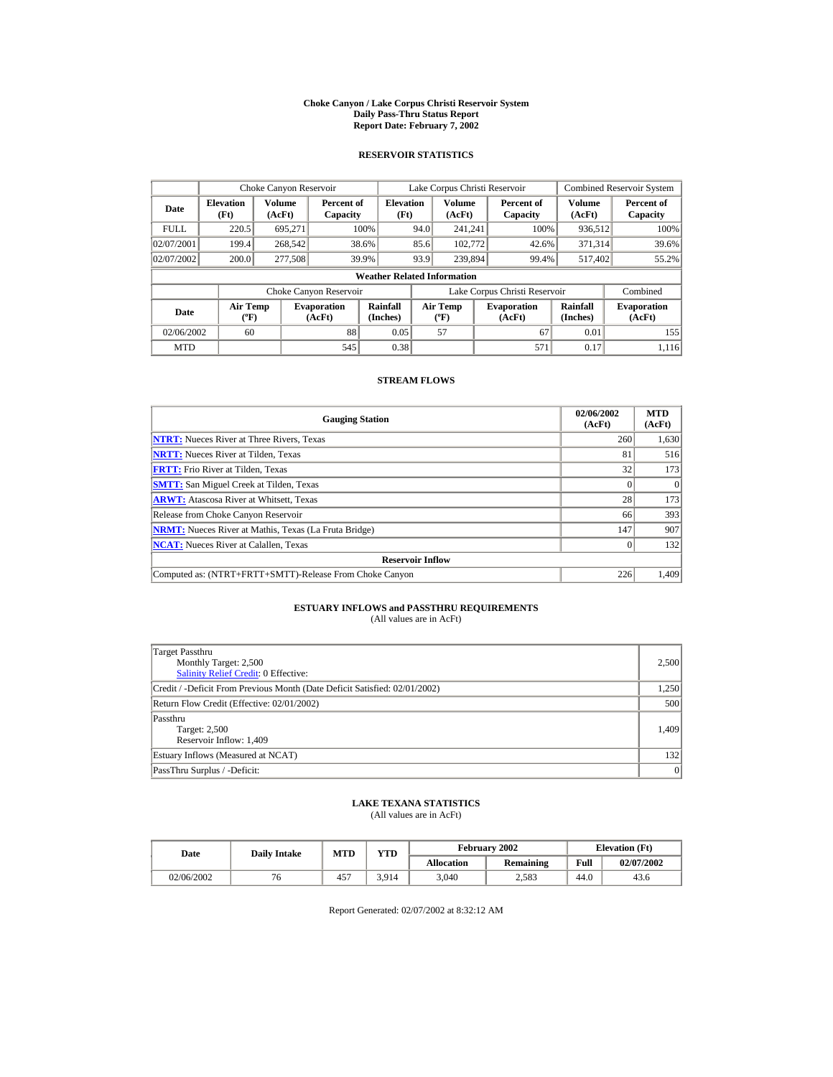#### **Choke Canyon / Lake Corpus Christi Reservoir System Daily Pass-Thru Status Report Report Date: February 7, 2002**

### **RESERVOIR STATISTICS**

|                                                                                     | Choke Canyon Reservoir             |         |                        |                          |      | Lake Corpus Christi Reservoir             |  |                               |                      | <b>Combined Reservoir System</b> |
|-------------------------------------------------------------------------------------|------------------------------------|---------|------------------------|--------------------------|------|-------------------------------------------|--|-------------------------------|----------------------|----------------------------------|
| Volume<br><b>Elevation</b><br>Date<br>(Ft)<br>(AcFt)                                |                                    |         | Percent of<br>Capacity | <b>Elevation</b><br>(Ft) |      | Volume<br>(AcFt)                          |  | Percent of<br>Capacity        | Volume<br>(AcFt)     | Percent of<br>Capacity           |
| <b>FULL</b>                                                                         | 220.5                              | 695.271 |                        | 100%                     | 94.0 | 241.241                                   |  | 100%                          | 936,512              | 100%                             |
| 02/07/2001                                                                          | 199.4                              | 268,542 |                        | 38.6%                    | 85.6 | 102,772                                   |  | 42.6%                         | 371.314              | 39.6%                            |
| 02/07/2002                                                                          | 200.0                              | 277,508 |                        | 39.9%                    | 93.9 | 239,894                                   |  | 99.4%                         | 517.402              | 55.2%                            |
|                                                                                     | <b>Weather Related Information</b> |         |                        |                          |      |                                           |  |                               |                      |                                  |
|                                                                                     |                                    |         | Choke Canyon Reservoir |                          |      |                                           |  | Lake Corpus Christi Reservoir |                      | Combined                         |
| <b>Air Temp</b><br><b>Evaporation</b><br>Date<br>$({}^{\circ}\mathrm{F})$<br>(AcFt) |                                    |         |                        | Rainfall<br>(Inches)     |      | <b>Air Temp</b><br>$({}^{\circ}\text{F})$ |  | <b>Evaporation</b><br>(AcFt)  | Rainfall<br>(Inches) | <b>Evaporation</b><br>(AcFt)     |
| 02/06/2002                                                                          | 60                                 |         | 88                     | 0.05                     |      | 57                                        |  | 67                            | 0.01                 | 155                              |
| <b>MTD</b>                                                                          |                                    |         | 545                    | 0.38                     |      |                                           |  | 571                           | 0.17                 | 1.116                            |

### **STREAM FLOWS**

| <b>Gauging Station</b>                                       | 02/06/2002<br>(AcFt) | <b>MTD</b><br>(AcFt) |
|--------------------------------------------------------------|----------------------|----------------------|
| <b>NTRT:</b> Nueces River at Three Rivers, Texas             | 260                  | 1,630                |
| <b>NRTT:</b> Nueces River at Tilden, Texas                   | 81                   | 516                  |
| <b>FRTT:</b> Frio River at Tilden, Texas                     | 32                   | 173                  |
| <b>SMTT:</b> San Miguel Creek at Tilden, Texas               |                      | $\Omega$             |
| <b>ARWT:</b> Atascosa River at Whitsett, Texas               | 28                   | 173                  |
| Release from Choke Canyon Reservoir                          | 66                   | 393                  |
| <b>NRMT:</b> Nueces River at Mathis, Texas (La Fruta Bridge) | 147                  | 907                  |
| <b>NCAT:</b> Nueces River at Calallen, Texas                 |                      | 132                  |
| <b>Reservoir Inflow</b>                                      |                      |                      |
| Computed as: (NTRT+FRTT+SMTT)-Release From Choke Canyon      | 226                  | 1,409                |

# **ESTUARY INFLOWS and PASSTHRU REQUIREMENTS**<br>(All values are in AcFt)

| Target Passthru<br>Monthly Target: 2,500<br><b>Salinity Relief Credit: 0 Effective:</b> | 2,500 |
|-----------------------------------------------------------------------------------------|-------|
| Credit / -Deficit From Previous Month (Date Deficit Satisfied: 02/01/2002)              | 1,250 |
| Return Flow Credit (Effective: 02/01/2002)                                              | 500   |
| Passthru<br>Target: 2,500<br>Reservoir Inflow: 1,409                                    | 1.409 |
| Estuary Inflows (Measured at NCAT)                                                      | 132   |
| PassThru Surplus / -Deficit:                                                            | 0     |

## **LAKE TEXANA STATISTICS**

(All values are in AcFt)

| Date       | <b>MTD</b><br><b>Daily Intake</b> |     | YTD   |            | February 2002 | <b>Elevation</b> (Ft) |            |
|------------|-----------------------------------|-----|-------|------------|---------------|-----------------------|------------|
|            |                                   |     |       | Allocation | Remaining     | Full                  | 02/07/2002 |
| 02/06/2002 | 76                                | 457 | 3.914 | 3,040      | 2,583         | 44.U                  | 43.6       |

Report Generated: 02/07/2002 at 8:32:12 AM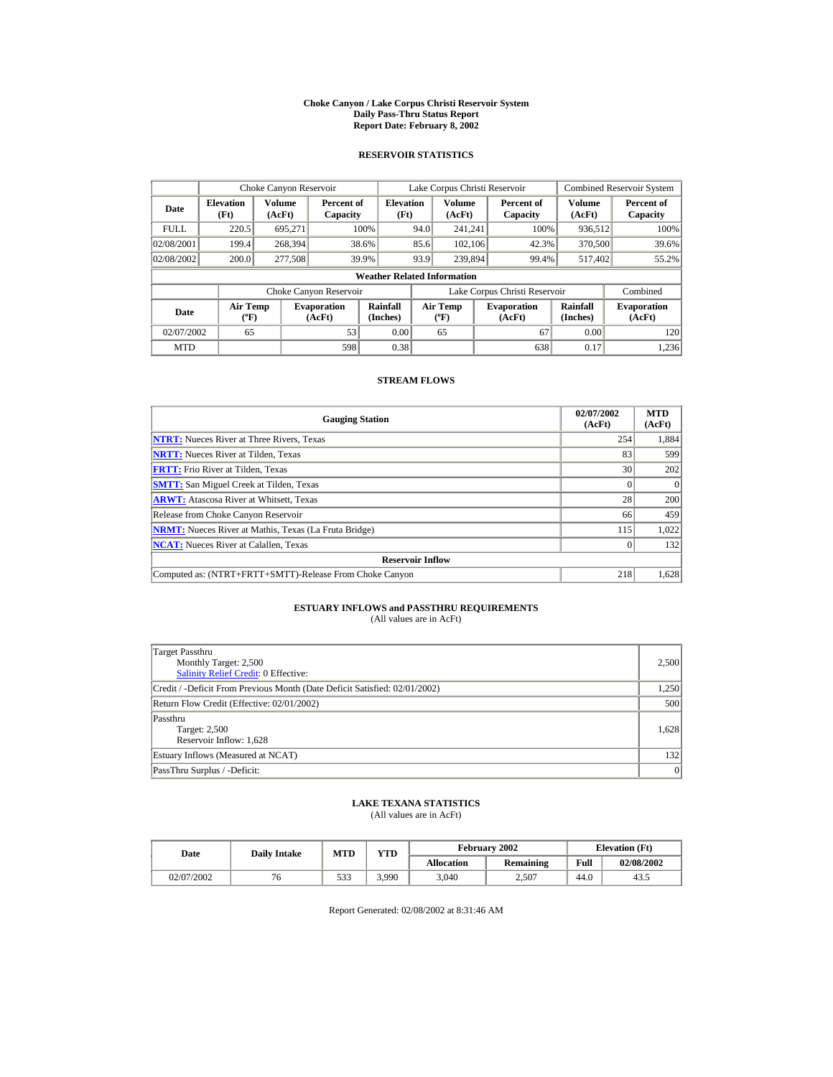#### **Choke Canyon / Lake Corpus Christi Reservoir System Daily Pass-Thru Status Report Report Date: February 8, 2002**

### **RESERVOIR STATISTICS**

|                                                                                     | Choke Canyon Reservoir   |                  |                        |                                    |                                  | Lake Corpus Christi Reservoir |                               |                              | <b>Combined Reservoir System</b> |
|-------------------------------------------------------------------------------------|--------------------------|------------------|------------------------|------------------------------------|----------------------------------|-------------------------------|-------------------------------|------------------------------|----------------------------------|
| Date                                                                                | <b>Elevation</b><br>(Ft) | Volume<br>(AcFt) | Percent of<br>Capacity | <b>Elevation</b><br>(Ft)           |                                  | Volume<br>(AcFt)              | Percent of<br>Capacity        | Volume<br>(AcFt)             | Percent of<br>Capacity           |
| <b>FULL</b>                                                                         | 220.5                    | 695.271          |                        | 100%                               | 94.0                             | 241.241                       | 100%                          | 936,512                      | 100%                             |
| 02/08/2001                                                                          | 199.4                    | 268,394          |                        | 38.6%                              | 85.6                             | 102.106                       | 42.3%                         | 370,500                      | 39.6%                            |
| 02/08/2002                                                                          | 200.0                    | 277,508          |                        | 39.9%                              | 93.9                             | 239,894                       | 99.4%                         | 517.402                      | 55.2%                            |
|                                                                                     |                          |                  |                        | <b>Weather Related Information</b> |                                  |                               |                               |                              |                                  |
|                                                                                     |                          |                  | Choke Canyon Reservoir |                                    |                                  |                               | Lake Corpus Christi Reservoir |                              | Combined                         |
| <b>Air Temp</b><br><b>Evaporation</b><br>Date<br>$({}^{\circ}\mathrm{F})$<br>(AcFt) |                          |                  | Rainfall<br>(Inches)   |                                    | <b>Air Temp</b><br>$(^{\circ}F)$ | <b>Evaporation</b><br>(AcFt)  | Rainfall<br>(Inches)          | <b>Evaporation</b><br>(AcFt) |                                  |
| 02/07/2002                                                                          | 65                       |                  | 53                     | 0.00                               |                                  | 65                            | 67                            | 0.00                         | 120                              |
| <b>MTD</b>                                                                          |                          |                  | 598                    | 0.38                               |                                  |                               | 638                           | 0.17                         | 1,236                            |

# **STREAM FLOWS**

| <b>Gauging Station</b>                                       | 02/07/2002<br>(AcFt) | <b>MTD</b><br>(AcFt) |
|--------------------------------------------------------------|----------------------|----------------------|
| <b>NTRT:</b> Nueces River at Three Rivers, Texas             | 254                  | 1,884                |
| <b>NRTT:</b> Nueces River at Tilden, Texas                   | 83                   | 599                  |
| <b>FRTT:</b> Frio River at Tilden, Texas                     | 30                   | 202                  |
| <b>SMTT:</b> San Miguel Creek at Tilden, Texas               |                      |                      |
| <b>ARWT:</b> Atascosa River at Whitsett, Texas               | 28                   | 200                  |
| Release from Choke Canyon Reservoir                          | 66                   | 459                  |
| <b>NRMT:</b> Nueces River at Mathis, Texas (La Fruta Bridge) | 115                  | 1.022                |
| <b>NCAT:</b> Nueces River at Calallen, Texas                 |                      | 132                  |
| <b>Reservoir Inflow</b>                                      |                      |                      |
| Computed as: (NTRT+FRTT+SMTT)-Release From Choke Canyon      | 218                  | 1,628                |

# **ESTUARY INFLOWS and PASSTHRU REQUIREMENTS**<br>(All values are in AcFt)

| Target Passthru<br>Monthly Target: 2,500<br>Salinity Relief Credit: 0 Effective: | 2,500 |
|----------------------------------------------------------------------------------|-------|
| Credit / -Deficit From Previous Month (Date Deficit Satisfied: 02/01/2002)       | 1,250 |
| Return Flow Credit (Effective: 02/01/2002)                                       | 500   |
| Passthru<br>Target: 2,500<br>Reservoir Inflow: 1,628                             | 1,628 |
| Estuary Inflows (Measured at NCAT)                                               | 132   |
| PassThru Surplus / -Deficit:                                                     | 0     |

## **LAKE TEXANA STATISTICS**

(All values are in AcFt)

| Date       | <b>Daily Intake</b> | <b>MTD</b> | YTD   |            | February 2002 |      | <b>Elevation</b> (Ft) |
|------------|---------------------|------------|-------|------------|---------------|------|-----------------------|
|            |                     |            |       | Allocation | Remaining     | Full | 02/08/2002            |
| 02/07/2002 | 76                  | 533        | 3.990 | 3,040      | 2,507         | 44.G | 43.5                  |

Report Generated: 02/08/2002 at 8:31:46 AM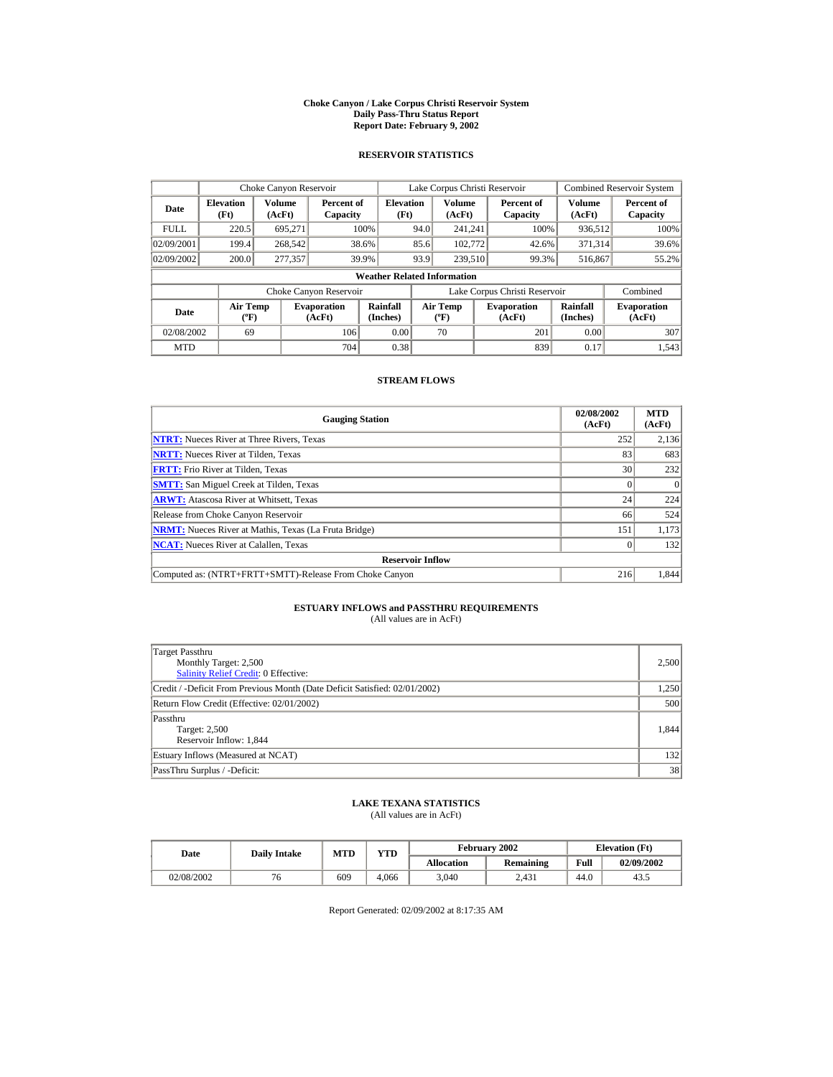#### **Choke Canyon / Lake Corpus Christi Reservoir System Daily Pass-Thru Status Report Report Date: February 9, 2002**

### **RESERVOIR STATISTICS**

|                                                                                     | Choke Canyon Reservoir |         |                        |                                    |                                           | Lake Corpus Christi Reservoir |                               |                              | <b>Combined Reservoir System</b> |
|-------------------------------------------------------------------------------------|------------------------|---------|------------------------|------------------------------------|-------------------------------------------|-------------------------------|-------------------------------|------------------------------|----------------------------------|
| Volume<br><b>Elevation</b><br>Date<br>(Ft)<br>(AcFt)                                |                        |         | Percent of<br>Capacity | <b>Elevation</b><br>(Ft)           |                                           | Volume<br>(AcFt)              | Percent of<br>Capacity        | Volume<br>(AcFt)             | Percent of<br>Capacity           |
| <b>FULL</b>                                                                         | 220.5                  | 695.271 |                        | 100%                               | 94.0                                      | 241.241                       | 100%                          | 936,512                      | 100%                             |
| 02/09/2001                                                                          | 199.4                  | 268,542 |                        | 38.6%                              | 85.6                                      | 102,772                       | 42.6%                         | 371.314                      | 39.6%                            |
| 02/09/2002                                                                          | 200.0                  | 277,357 |                        | 39.9%                              | 93.9                                      | 239,510                       | 99.3%                         | 516,867                      | 55.2%                            |
|                                                                                     |                        |         |                        | <b>Weather Related Information</b> |                                           |                               |                               |                              |                                  |
|                                                                                     |                        |         | Choke Canyon Reservoir |                                    |                                           |                               | Lake Corpus Christi Reservoir |                              | Combined                         |
| <b>Air Temp</b><br><b>Evaporation</b><br>Date<br>$({}^{\circ}\mathrm{F})$<br>(AcFt) |                        |         | Rainfall<br>(Inches)   |                                    | <b>Air Temp</b><br>$({}^{\circ}\text{F})$ | <b>Evaporation</b><br>(AcFt)  | Rainfall<br>(Inches)          | <b>Evaporation</b><br>(AcFt) |                                  |
| 02/08/2002                                                                          | 69                     |         | 106                    | 0.00                               |                                           | 70                            | 201                           | 0.00                         | 307                              |
| <b>MTD</b>                                                                          |                        |         | 704                    | 0.38                               |                                           |                               | 839                           | 0.17                         | 1.543                            |

### **STREAM FLOWS**

| <b>Gauging Station</b>                                       | 02/08/2002<br>(AcFt) | <b>MTD</b><br>(AcFt) |
|--------------------------------------------------------------|----------------------|----------------------|
| <b>NTRT:</b> Nueces River at Three Rivers, Texas             | 252                  | 2,136                |
| <b>NRTT:</b> Nueces River at Tilden, Texas                   | 83                   | 683                  |
| <b>FRTT:</b> Frio River at Tilden, Texas                     | 30                   | 232                  |
| <b>SMTT:</b> San Miguel Creek at Tilden, Texas               |                      | $\Omega$             |
| <b>ARWT:</b> Atascosa River at Whitsett, Texas               | 24                   | 224                  |
| Release from Choke Canyon Reservoir                          | 66                   | 524                  |
| <b>NRMT:</b> Nueces River at Mathis, Texas (La Fruta Bridge) | 151                  | 1,173                |
| <b>NCAT:</b> Nueces River at Calallen, Texas                 |                      | 132                  |
| <b>Reservoir Inflow</b>                                      |                      |                      |
| Computed as: (NTRT+FRTT+SMTT)-Release From Choke Canyon      | 216                  | 1,844                |

# **ESTUARY INFLOWS and PASSTHRU REQUIREMENTS**<br>(All values are in AcFt)

| Target Passthru<br>Monthly Target: 2,500<br>Salinity Relief Credit: 0 Effective: | 2,500 |
|----------------------------------------------------------------------------------|-------|
| Credit / -Deficit From Previous Month (Date Deficit Satisfied: 02/01/2002)       | 1,250 |
| Return Flow Credit (Effective: 02/01/2002)                                       | 500   |
| Passthru<br><b>Target: 2,500</b><br>Reservoir Inflow: 1,844                      | 1.844 |
| Estuary Inflows (Measured at NCAT)                                               | 132   |
| PassThru Surplus / -Deficit:                                                     | 38    |

## **LAKE TEXANA STATISTICS**

(All values are in AcFt)

| Date       | <b>Daily Intake</b> | <b>MTD</b> | VTD   |                   | February 2002 | <b>Elevation</b> (Ft) |            |
|------------|---------------------|------------|-------|-------------------|---------------|-----------------------|------------|
|            |                     |            |       | <b>Allocation</b> | Remaining     | Full                  | 02/09/2002 |
| 02/08/2002 | 6                   | 609        | 4.066 | 3,040             | 2.431         | 44.0                  | 43.5       |

Report Generated: 02/09/2002 at 8:17:35 AM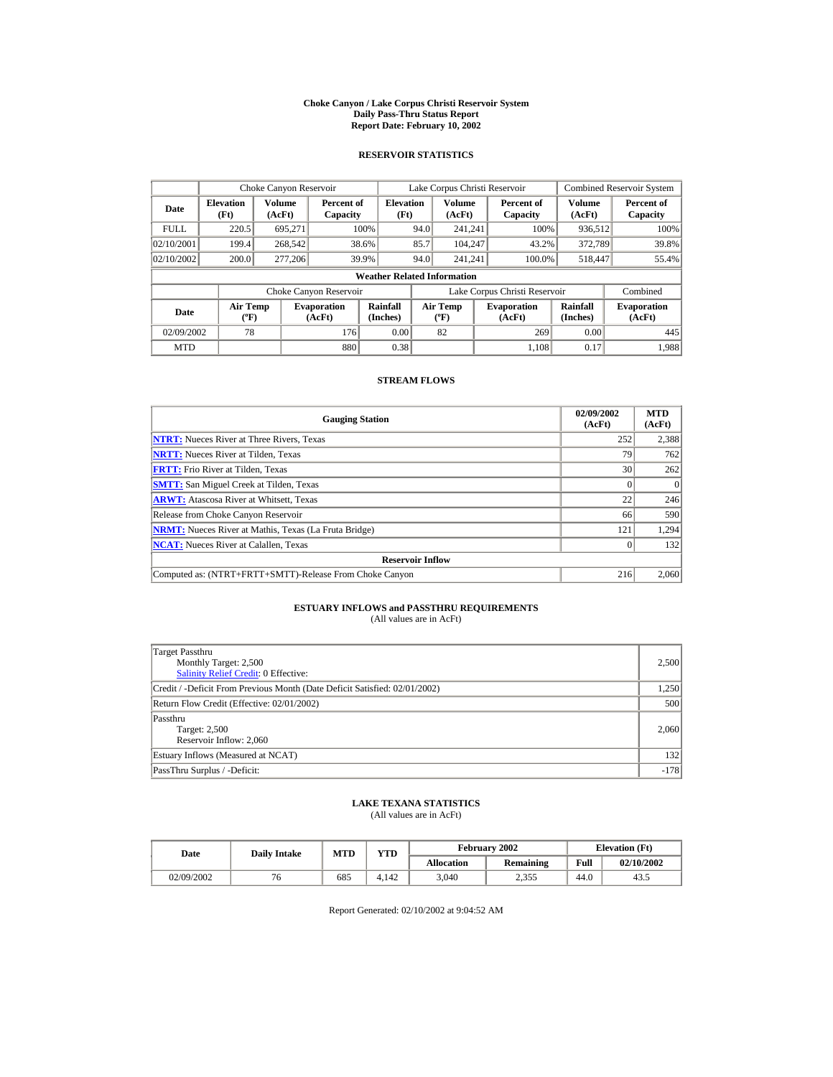#### **Choke Canyon / Lake Corpus Christi Reservoir System Daily Pass-Thru Status Report Report Date: February 10, 2002**

### **RESERVOIR STATISTICS**

|                                        | Choke Canyon Reservoir             |                  |                              |                          |                               | Lake Corpus Christi Reservoir     |  |                              |                         | <b>Combined Reservoir System</b> |  |
|----------------------------------------|------------------------------------|------------------|------------------------------|--------------------------|-------------------------------|-----------------------------------|--|------------------------------|-------------------------|----------------------------------|--|
| Date                                   | <b>Elevation</b><br>(Ft)           | Volume<br>(AcFt) | Percent of<br>Capacity       | <b>Elevation</b><br>(Ft) |                               | Volume<br>(AcFt)                  |  | Percent of<br>Capacity       | <b>Volume</b><br>(AcFt) | Percent of<br>Capacity           |  |
| <b>FULL</b>                            | 220.5                              | 695.271          |                              | 100%                     | 94.0                          | 241.241                           |  | 100%                         | 936,512                 | 100%                             |  |
| 02/10/2001                             | 199.4                              | 268,542          |                              | 38.6%                    | 85.7                          | 104.247                           |  | 43.2%                        | 372,789                 | 39.8%                            |  |
| 02/10/2002                             | 200.0                              | 277,206          |                              | 39.9%                    | 94.0                          | 241.241                           |  | 100.0%                       | 518,447                 | 55.4%                            |  |
|                                        | <b>Weather Related Information</b> |                  |                              |                          |                               |                                   |  |                              |                         |                                  |  |
|                                        |                                    |                  | Choke Canyon Reservoir       |                          | Lake Corpus Christi Reservoir |                                   |  |                              | Combined                |                                  |  |
| Air Temp<br>Date<br>$({}^o\mathrm{F})$ |                                    |                  | <b>Evaporation</b><br>(AcFt) | Rainfall<br>(Inches)     |                               | Air Temp<br>$({}^{\circ}{\rm F})$ |  | <b>Evaporation</b><br>(AcFt) | Rainfall<br>(Inches)    | <b>Evaporation</b><br>(AcFt)     |  |
| 02/09/2002                             | 78                                 |                  | 176                          | 0.00                     |                               | 82                                |  | 269                          | 0.00                    | 445                              |  |
| <b>MTD</b>                             |                                    |                  | 880                          | 0.38                     |                               |                                   |  | 1.108                        | 0.17                    | 1.988                            |  |

### **STREAM FLOWS**

| <b>Gauging Station</b>                                       | 02/09/2002<br>(AcFt) | <b>MTD</b><br>(AcFt) |
|--------------------------------------------------------------|----------------------|----------------------|
| <b>NTRT:</b> Nueces River at Three Rivers, Texas             | 252                  | 2,388                |
| <b>NRTT:</b> Nueces River at Tilden, Texas                   | 79                   | 762                  |
| <b>FRTT:</b> Frio River at Tilden, Texas                     | 30                   | 262                  |
| <b>SMTT:</b> San Miguel Creek at Tilden, Texas               |                      | $\theta$             |
| <b>ARWT:</b> Atascosa River at Whitsett, Texas               | 22                   | 246                  |
| Release from Choke Canyon Reservoir                          | 66                   | 590                  |
| <b>NRMT:</b> Nueces River at Mathis, Texas (La Fruta Bridge) | 121                  | 1,294                |
| <b>NCAT:</b> Nueces River at Calallen, Texas                 |                      | 132                  |
| <b>Reservoir Inflow</b>                                      |                      |                      |
| Computed as: (NTRT+FRTT+SMTT)-Release From Choke Canyon      | 216                  | 2,060                |

# **ESTUARY INFLOWS and PASSTHRU REQUIREMENTS**<br>(All values are in AcFt)

| Target Passthru<br>Monthly Target: 2,500<br>Salinity Relief Credit: 0 Effective: | 2,500  |
|----------------------------------------------------------------------------------|--------|
| Credit / -Deficit From Previous Month (Date Deficit Satisfied: 02/01/2002)       | 1,250  |
| Return Flow Credit (Effective: 02/01/2002)                                       | 500    |
| Passthru<br>Target: 2,500<br>Reservoir Inflow: 2,060                             | 2.060  |
| Estuary Inflows (Measured at NCAT)                                               | 132    |
| PassThru Surplus / -Deficit:                                                     | $-178$ |

## **LAKE TEXANA STATISTICS**

(All values are in AcFt)

| Date       | <b>Daily Intake</b> | <b>MTD</b> | $\mathbf{v}\mathbf{T}\mathbf{D}$ |                   | February 2002 |      | <b>Elevation</b> (Ft) |
|------------|---------------------|------------|----------------------------------|-------------------|---------------|------|-----------------------|
|            |                     |            |                                  | <b>Allocation</b> | Remaining     | Full | 02/10/2002            |
| 02/09/2002 | '0                  | 685        | 4.142                            | 3,040             | 2.355         | 44.0 | 43.1                  |

Report Generated: 02/10/2002 at 9:04:52 AM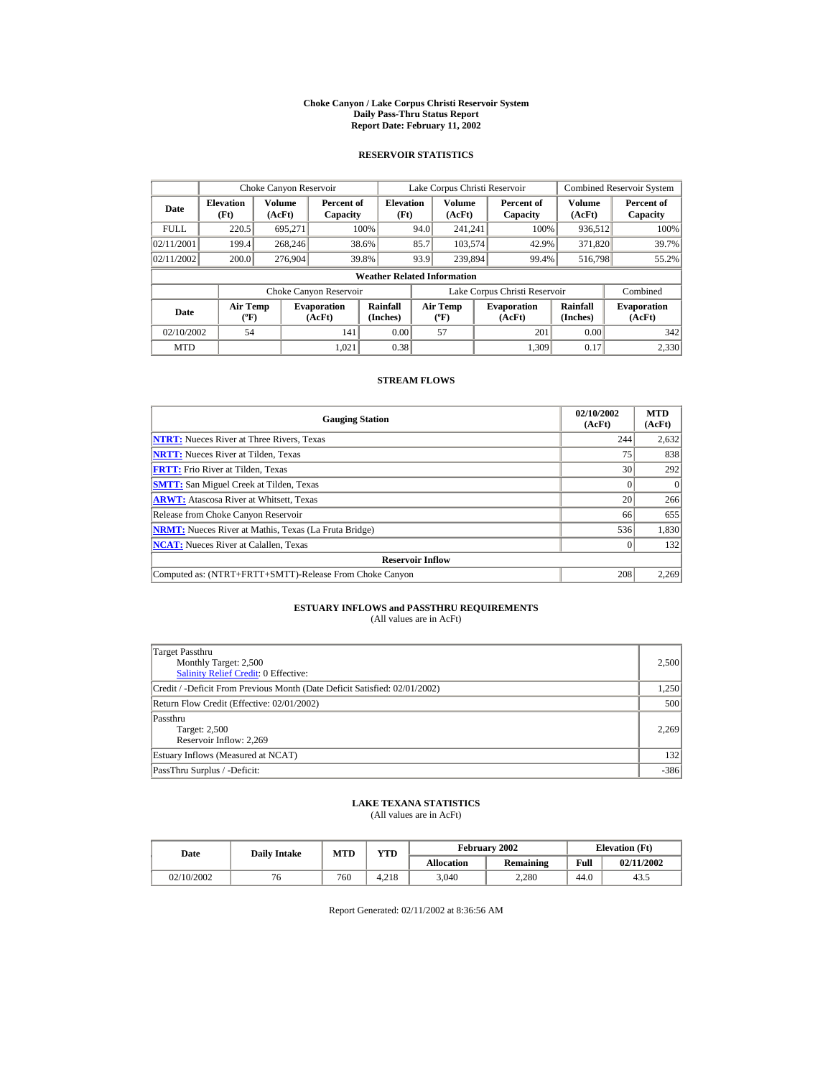#### **Choke Canyon / Lake Corpus Christi Reservoir System Daily Pass-Thru Status Report Report Date: February 11, 2002**

### **RESERVOIR STATISTICS**

|                                                      | Choke Canyon Reservoir |                              |                          |                                    |                                           | Lake Corpus Christi Reservoir |                              |                      |                              | <b>Combined Reservoir System</b> |
|------------------------------------------------------|------------------------|------------------------------|--------------------------|------------------------------------|-------------------------------------------|-------------------------------|------------------------------|----------------------|------------------------------|----------------------------------|
| Volume<br><b>Elevation</b><br>Date<br>(Ft)<br>(AcFt) |                        | Percent of<br>Capacity       | <b>Elevation</b><br>(Ft) |                                    | Volume<br>(AcFt)                          |                               | Percent of<br>Capacity       | Volume<br>(AcFt)     | Percent of<br>Capacity       |                                  |
| <b>FULL</b>                                          | 220.5                  | 695.271                      |                          | 100%                               | 94.0                                      | 241.241                       |                              | 100%                 | 936,512                      | 100%                             |
| 02/11/2001                                           | 199.4                  | 268,246                      |                          | 38.6%                              | 85.7                                      | 103,574                       |                              | 42.9%                | 371,820                      | 39.7%                            |
| 02/11/2002                                           | 200.0                  | 276,904                      |                          | 39.8%                              | 93.9                                      | 239,894                       |                              | 99.4%                | 516,798                      | 55.2%                            |
|                                                      |                        |                              |                          | <b>Weather Related Information</b> |                                           |                               |                              |                      |                              |                                  |
|                                                      |                        |                              | Choke Canyon Reservoir   |                                    | Lake Corpus Christi Reservoir             |                               |                              |                      | Combined                     |                                  |
| <b>Air Temp</b><br>Date<br>$({}^{\circ}\mathrm{F})$  |                        | <b>Evaporation</b><br>(AcFt) | Rainfall<br>(Inches)     |                                    | <b>Air Temp</b><br>$({}^{\circ}\text{F})$ |                               | <b>Evaporation</b><br>(AcFt) | Rainfall<br>(Inches) | <b>Evaporation</b><br>(AcFt) |                                  |
| 02/10/2002                                           | 54                     |                              | 141                      | 0.00                               |                                           | 57                            |                              | 201                  | 0.00                         | 342                              |
| <b>MTD</b>                                           |                        |                              | 1.021                    | 0.38                               |                                           |                               |                              | 1.309                | 0.17                         | 2,330                            |

### **STREAM FLOWS**

| <b>Gauging Station</b>                                       | 02/10/2002<br>(AcFt) | <b>MTD</b><br>(AcFt) |
|--------------------------------------------------------------|----------------------|----------------------|
| <b>NTRT:</b> Nueces River at Three Rivers, Texas             | 244                  | 2,632                |
| <b>NRTT:</b> Nueces River at Tilden, Texas                   | 75                   | 838                  |
| <b>FRTT:</b> Frio River at Tilden, Texas                     | 30                   | 292                  |
| <b>SMTT:</b> San Miguel Creek at Tilden, Texas               |                      | $\Omega$             |
| <b>ARWT:</b> Atascosa River at Whitsett, Texas               | 20                   | 266                  |
| Release from Choke Canyon Reservoir                          | 66                   | 655                  |
| <b>NRMT:</b> Nueces River at Mathis, Texas (La Fruta Bridge) | 536                  | 1,830                |
| <b>NCAT:</b> Nueces River at Calallen, Texas                 |                      | 132                  |
| <b>Reservoir Inflow</b>                                      |                      |                      |
| Computed as: (NTRT+FRTT+SMTT)-Release From Choke Canyon      | 208                  | 2,269                |

# **ESTUARY INFLOWS and PASSTHRU REQUIREMENTS**<br>(All values are in AcFt)

| Target Passthru<br>Monthly Target: 2,500<br><b>Salinity Relief Credit: 0 Effective:</b> | 2,500  |
|-----------------------------------------------------------------------------------------|--------|
| Credit / -Deficit From Previous Month (Date Deficit Satisfied: 02/01/2002)              | 1,250  |
| Return Flow Credit (Effective: 02/01/2002)                                              | 500    |
| Passthru<br>Target: 2,500<br>Reservoir Inflow: 2,269                                    | 2.269  |
| Estuary Inflows (Measured at NCAT)                                                      | 132    |
| PassThru Surplus / -Deficit:                                                            | $-386$ |

## **LAKE TEXANA STATISTICS**

(All values are in AcFt)

| Date |            | <b>Daily Intake</b> | <b>MTD</b> | YTD   |                   | February 2002 |      | <b>Elevation</b> (Ft) |
|------|------------|---------------------|------------|-------|-------------------|---------------|------|-----------------------|
|      |            |                     |            |       | <b>Allocation</b> | Remaining     | Full | 02/11/2002            |
|      | 02/10/2002 | 76                  | 760        | 4.218 | 3.040             | 2.280         | 44.0 | 43.5                  |

Report Generated: 02/11/2002 at 8:36:56 AM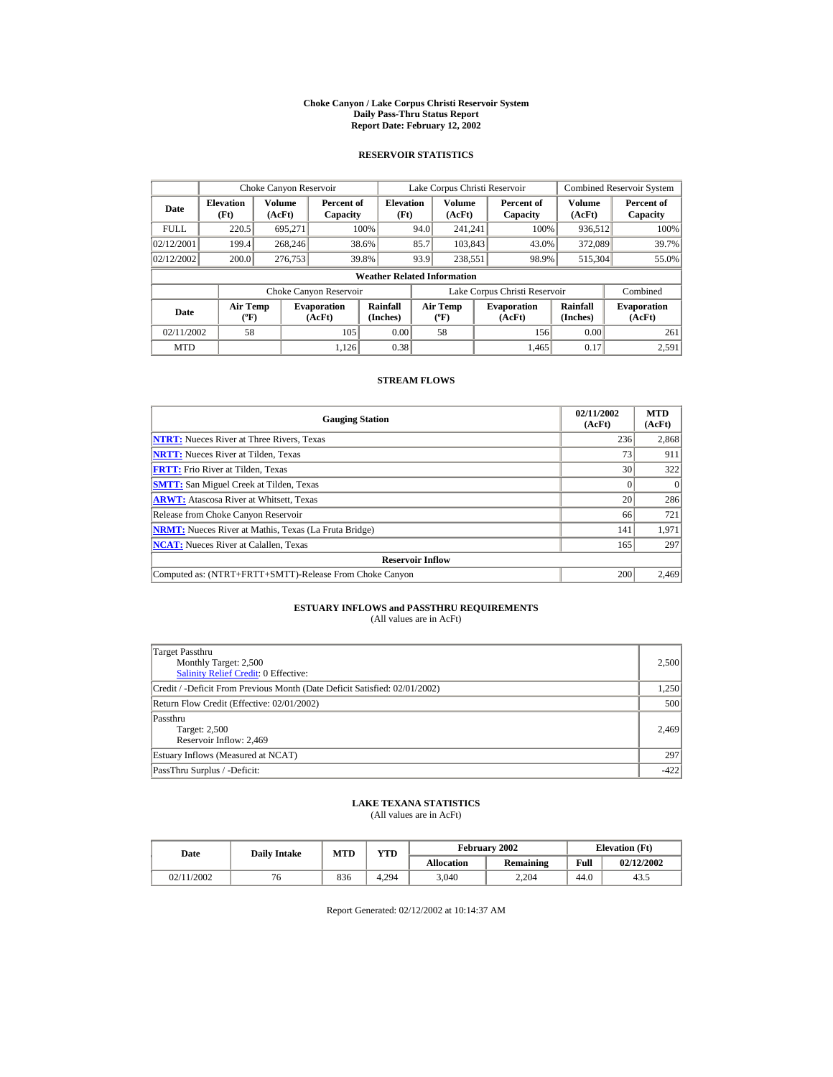#### **Choke Canyon / Lake Corpus Christi Reservoir System Daily Pass-Thru Status Report Report Date: February 12, 2002**

### **RESERVOIR STATISTICS**

|                                        | Choke Canyon Reservoir   |                  |                              |                                    |      | Lake Corpus Christi Reservoir     |                               |                      | <b>Combined Reservoir System</b> |
|----------------------------------------|--------------------------|------------------|------------------------------|------------------------------------|------|-----------------------------------|-------------------------------|----------------------|----------------------------------|
| Date                                   | <b>Elevation</b><br>(Ft) | Volume<br>(AcFt) | Percent of<br>Capacity       | <b>Elevation</b><br>(Ft)           |      | <b>Volume</b><br>(AcFt)           | Percent of<br>Capacity        | Volume<br>(AcFt)     | Percent of<br>Capacity           |
| <b>FULL</b>                            | 220.5                    | 695,271          |                              | 100%                               | 94.0 | 241.241                           | 100%                          | 936,512              | 100%                             |
| 02/12/2001                             | 199.4                    | 268,246          |                              | 38.6%                              | 85.7 | 103,843                           | 43.0%                         | 372,089              | 39.7%                            |
| 02/12/2002                             | 200.0                    | 276,753          |                              | 39.8%                              | 93.9 | 238.551                           | 98.9%                         | 515,304              | 55.0%                            |
|                                        |                          |                  |                              | <b>Weather Related Information</b> |      |                                   |                               |                      |                                  |
|                                        |                          |                  | Choke Canyon Reservoir       |                                    |      |                                   | Lake Corpus Christi Reservoir |                      | Combined                         |
| Air Temp<br>Date<br>$({}^o\mathrm{F})$ |                          |                  | <b>Evaporation</b><br>(AcFt) | Rainfall<br>(Inches)               |      | Air Temp<br>$({}^{\circ}{\rm F})$ | <b>Evaporation</b><br>(AcFt)  | Rainfall<br>(Inches) | <b>Evaporation</b><br>(AcFt)     |
| 02/11/2002                             | 58                       |                  | 105                          | 0.00                               |      | 58                                | 156                           | 0.00                 | 261                              |
| <b>MTD</b>                             |                          |                  | 1.126                        | 0.38                               |      |                                   | 1.465                         | 0.17                 | 2,591                            |

### **STREAM FLOWS**

| <b>Gauging Station</b>                                       | 02/11/2002<br>(AcFt) | <b>MTD</b><br>(AcFt) |
|--------------------------------------------------------------|----------------------|----------------------|
| <b>NTRT:</b> Nueces River at Three Rivers, Texas             | 236                  | 2,868                |
| <b>NRTT:</b> Nueces River at Tilden, Texas                   | 73                   | 911                  |
| <b>FRTT:</b> Frio River at Tilden, Texas                     | 30                   | 322                  |
| <b>SMTT:</b> San Miguel Creek at Tilden, Texas               |                      | $\Omega$             |
| <b>ARWT:</b> Atascosa River at Whitsett, Texas               | 20                   | 286                  |
| Release from Choke Canyon Reservoir                          | 66                   | 721                  |
| <b>NRMT:</b> Nueces River at Mathis, Texas (La Fruta Bridge) | 141                  | 1,971                |
| <b>NCAT:</b> Nueces River at Calallen, Texas                 | 165                  | 297                  |
| <b>Reservoir Inflow</b>                                      |                      |                      |
| Computed as: (NTRT+FRTT+SMTT)-Release From Choke Canyon      | 200                  | 2,469                |

# **ESTUARY INFLOWS and PASSTHRU REQUIREMENTS**<br>(All values are in AcFt)

| Target Passthru<br>Monthly Target: 2,500<br>Salinity Relief Credit: 0 Effective: | 2,500  |
|----------------------------------------------------------------------------------|--------|
| Credit / -Deficit From Previous Month (Date Deficit Satisfied: 02/01/2002)       | 1,250  |
| Return Flow Credit (Effective: 02/01/2002)                                       | 500    |
| Passthru<br>Target: 2,500<br>Reservoir Inflow: 2,469                             | 2.469  |
| Estuary Inflows (Measured at NCAT)                                               | 297    |
| PassThru Surplus / -Deficit:                                                     | $-422$ |

## **LAKE TEXANA STATISTICS**

(All values are in AcFt)

| Date       | <b>Daily Intake</b> | YTD<br><b>MTD</b> |       |                   | <b>February 2002</b> |      | <b>Elevation</b> (Ft) |
|------------|---------------------|-------------------|-------|-------------------|----------------------|------|-----------------------|
|            |                     |                   |       | <b>Allocation</b> | Remaining            | Full | 02/12/2002            |
| 02/11/2002 | 76                  | 836               | 4.294 | 3.040             | 2.204                | 44.0 | 43.1                  |

Report Generated: 02/12/2002 at 10:14:37 AM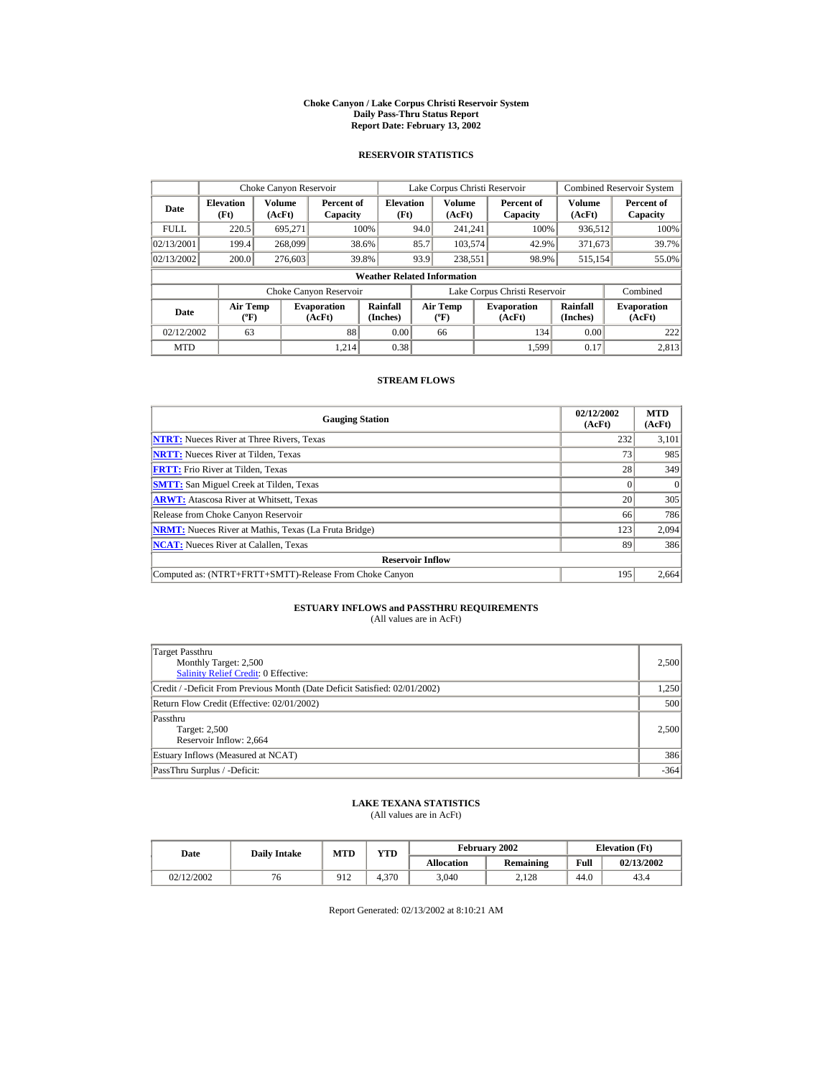#### **Choke Canyon / Lake Corpus Christi Reservoir System Daily Pass-Thru Status Report Report Date: February 13, 2002**

### **RESERVOIR STATISTICS**

|             | Choke Canyon Reservoir                      |                  |                              |                                    |      | Lake Corpus Christi Reservoir    |                               |                      | <b>Combined Reservoir System</b> |
|-------------|---------------------------------------------|------------------|------------------------------|------------------------------------|------|----------------------------------|-------------------------------|----------------------|----------------------------------|
| Date        | <b>Elevation</b><br>(Ft)                    | Volume<br>(AcFt) | Percent of<br>Capacity       | <b>Elevation</b><br>(Ft)           |      | Volume<br>(AcFt)                 | Percent of<br>Capacity        | Volume<br>(AcFt)     | Percent of<br>Capacity           |
| <b>FULL</b> | 220.5                                       | 695.271          |                              | 100%                               | 94.0 | 241.241                          | 100%                          | 936,512              | 100%                             |
| 02/13/2001  | 199.4                                       | 268,099          |                              | 38.6%                              | 85.7 | 103,574                          | 42.9%                         | 371,673              | 39.7%                            |
| 02/13/2002  | 200.0                                       | 276,603          |                              | 39.8%                              | 93.9 | 238.551                          | 98.9%                         | 515,154              | 55.0%                            |
|             |                                             |                  |                              | <b>Weather Related Information</b> |      |                                  |                               |                      |                                  |
|             |                                             |                  | Choke Canyon Reservoir       |                                    |      |                                  | Lake Corpus Christi Reservoir |                      | Combined                         |
| Date        | <b>Air Temp</b><br>$({}^{\circ}\mathrm{F})$ |                  | <b>Evaporation</b><br>(AcFt) | Rainfall<br>(Inches)               |      | <b>Air Temp</b><br>$(^{\circ}F)$ | <b>Evaporation</b><br>(AcFt)  | Rainfall<br>(Inches) | <b>Evaporation</b><br>(AcFt)     |
| 02/12/2002  | 63                                          |                  | 88                           | 0.00                               |      | 66                               | 134                           | 0.00                 | 222                              |
| <b>MTD</b>  |                                             |                  | 1.214                        | 0.38                               |      |                                  | 1.599                         | 0.17                 | 2,813                            |

### **STREAM FLOWS**

| <b>Gauging Station</b>                                       | 02/12/2002<br>(AcFt) | <b>MTD</b><br>(AcFt) |
|--------------------------------------------------------------|----------------------|----------------------|
| <b>NTRT:</b> Nueces River at Three Rivers, Texas             | 232                  | 3,101                |
| <b>NRTT:</b> Nueces River at Tilden, Texas                   | 73                   | 985                  |
| <b>FRTT:</b> Frio River at Tilden, Texas                     | 28                   | 349                  |
| <b>SMTT:</b> San Miguel Creek at Tilden, Texas               |                      | $\Omega$             |
| <b>ARWT:</b> Atascosa River at Whitsett, Texas               | 20                   | 305                  |
| Release from Choke Canyon Reservoir                          | 66                   | 786                  |
| <b>NRMT:</b> Nueces River at Mathis, Texas (La Fruta Bridge) | 123                  | 2,094                |
| <b>NCAT:</b> Nueces River at Calallen, Texas                 | 89                   | 386                  |
| <b>Reservoir Inflow</b>                                      |                      |                      |
| Computed as: (NTRT+FRTT+SMTT)-Release From Choke Canyon      | 195                  | 2,664                |

# **ESTUARY INFLOWS and PASSTHRU REQUIREMENTS**<br>(All values are in AcFt)

| Target Passthru<br>Monthly Target: 2,500<br><b>Salinity Relief Credit: 0 Effective:</b> | 2,500  |
|-----------------------------------------------------------------------------------------|--------|
| Credit / -Deficit From Previous Month (Date Deficit Satisfied: 02/01/2002)              | 1,250  |
| Return Flow Credit (Effective: 02/01/2002)                                              | 500    |
| Passthru<br>Target: 2,500<br>Reservoir Inflow: 2,664                                    | 2.500  |
| Estuary Inflows (Measured at NCAT)                                                      | 386    |
| PassThru Surplus / -Deficit:                                                            | $-364$ |

## **LAKE TEXANA STATISTICS**

(All values are in AcFt)

| Date       | <b>Daily Intake</b> | <b>MTD</b> | $\mathbf{v}\mathbf{T}\mathbf{D}$ | February 2002     |           | <b>Elevation</b> (Ft) |            |
|------------|---------------------|------------|----------------------------------|-------------------|-----------|-----------------------|------------|
|            |                     |            |                                  | <b>Allocation</b> | Remaining | Full                  | 02/13/2002 |
| 02/12/2002 | 'd                  | 912        | 4.370                            | 3,040             | 2.128     | 44.0                  | 43.4       |

Report Generated: 02/13/2002 at 8:10:21 AM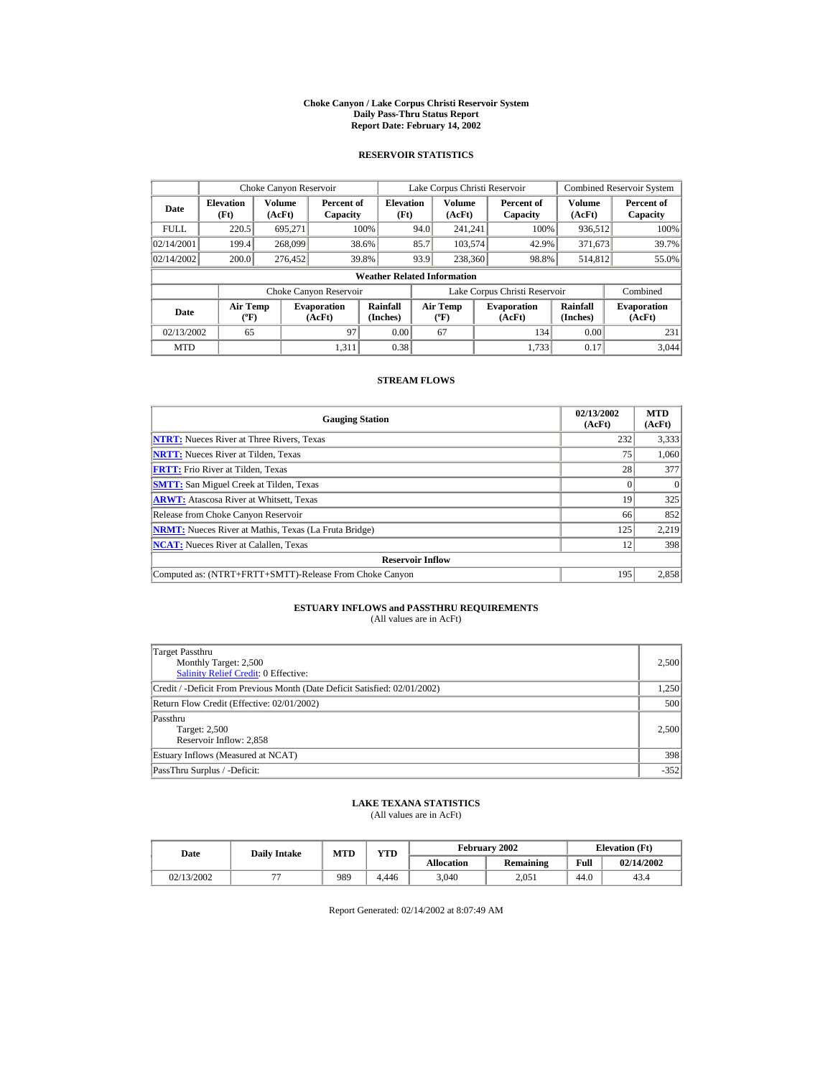#### **Choke Canyon / Lake Corpus Christi Reservoir System Daily Pass-Thru Status Report Report Date: February 14, 2002**

### **RESERVOIR STATISTICS**

|             | Choke Canyon Reservoir                      |                  |                              |                                    |      | Lake Corpus Christi Reservoir             |                               |                      | <b>Combined Reservoir System</b> |
|-------------|---------------------------------------------|------------------|------------------------------|------------------------------------|------|-------------------------------------------|-------------------------------|----------------------|----------------------------------|
| Date        | <b>Elevation</b><br>(Ft)                    | Volume<br>(AcFt) | Percent of<br>Capacity       | <b>Elevation</b><br>(Ft)           |      | Volume<br>(AcFt)                          | Percent of<br>Capacity        | Volume<br>(AcFt)     | Percent of<br>Capacity           |
| <b>FULL</b> | 220.5                                       | 695.271          |                              | 100%                               | 94.0 | 241.241                                   | 100%                          | 936,512              | 100%                             |
| 02/14/2001  | 199.4                                       | 268,099          |                              | 38.6%                              | 85.7 | 103,574                                   | 42.9%                         | 371,673              | 39.7%                            |
| 02/14/2002  | 200.0                                       | 276,452          |                              | 39.8%                              | 93.9 | 238,360                                   | 98.8%                         | 514.812              | 55.0%                            |
|             |                                             |                  |                              | <b>Weather Related Information</b> |      |                                           |                               |                      |                                  |
|             |                                             |                  | Choke Canyon Reservoir       |                                    |      |                                           | Lake Corpus Christi Reservoir |                      | Combined                         |
| Date        | <b>Air Temp</b><br>$({}^{\circ}\mathrm{F})$ |                  | <b>Evaporation</b><br>(AcFt) | Rainfall<br>(Inches)               |      | <b>Air Temp</b><br>$({}^{\circ}\text{F})$ | <b>Evaporation</b><br>(AcFt)  | Rainfall<br>(Inches) | <b>Evaporation</b><br>(AcFt)     |
| 02/13/2002  | 65                                          |                  | 97                           | 0.00                               |      | 67                                        | 134                           | 0.00                 | 231                              |
| <b>MTD</b>  |                                             |                  | 1.311                        | 0.38                               |      |                                           | 1.733                         | 0.17                 | 3.044                            |

### **STREAM FLOWS**

| <b>Gauging Station</b>                                       | 02/13/2002<br>(AcFt) | <b>MTD</b><br>(AcFt) |
|--------------------------------------------------------------|----------------------|----------------------|
| <b>NTRT:</b> Nueces River at Three Rivers, Texas             | 232                  | 3,333                |
| <b>NRTT:</b> Nueces River at Tilden, Texas                   | 75                   | 1,060                |
| <b>FRTT:</b> Frio River at Tilden, Texas                     | 28                   | 377                  |
| <b>SMTT:</b> San Miguel Creek at Tilden, Texas               |                      | $\Omega$             |
| <b>ARWT:</b> Atascosa River at Whitsett, Texas               | 19                   | 325                  |
| Release from Choke Canyon Reservoir                          | 66                   | 852                  |
| <b>NRMT:</b> Nueces River at Mathis, Texas (La Fruta Bridge) | 125                  | 2,219                |
| <b>NCAT:</b> Nueces River at Calallen. Texas                 | 12                   | 398                  |
| <b>Reservoir Inflow</b>                                      |                      |                      |
| Computed as: (NTRT+FRTT+SMTT)-Release From Choke Canyon      | 195                  | 2,858                |

# **ESTUARY INFLOWS and PASSTHRU REQUIREMENTS**<br>(All values are in AcFt)

| Target Passthru<br>Monthly Target: 2,500<br><b>Salinity Relief Credit: 0 Effective:</b> | 2,500  |
|-----------------------------------------------------------------------------------------|--------|
| Credit / -Deficit From Previous Month (Date Deficit Satisfied: 02/01/2002)              | 1,250  |
| Return Flow Credit (Effective: 02/01/2002)                                              | 500    |
| Passthru<br>Target: 2,500<br>Reservoir Inflow: 2,858                                    | 2.500  |
| Estuary Inflows (Measured at NCAT)                                                      | 398    |
| PassThru Surplus / -Deficit:                                                            | $-352$ |

## **LAKE TEXANA STATISTICS**

(All values are in AcFt)

| Date       | <b>Daily Intake</b>      | <b>MTD</b> | YTD   |                   | <b>February 2002</b> |      | <b>Elevation</b> (Ft) |
|------------|--------------------------|------------|-------|-------------------|----------------------|------|-----------------------|
|            |                          |            |       | <b>Allocation</b> | Remaining            | Full | 02/14/2002            |
| 02/13/2002 | $\overline{\phantom{a}}$ | 989        | 4.446 | 3.040             | 2.051                | 44.0 | 43.4                  |

Report Generated: 02/14/2002 at 8:07:49 AM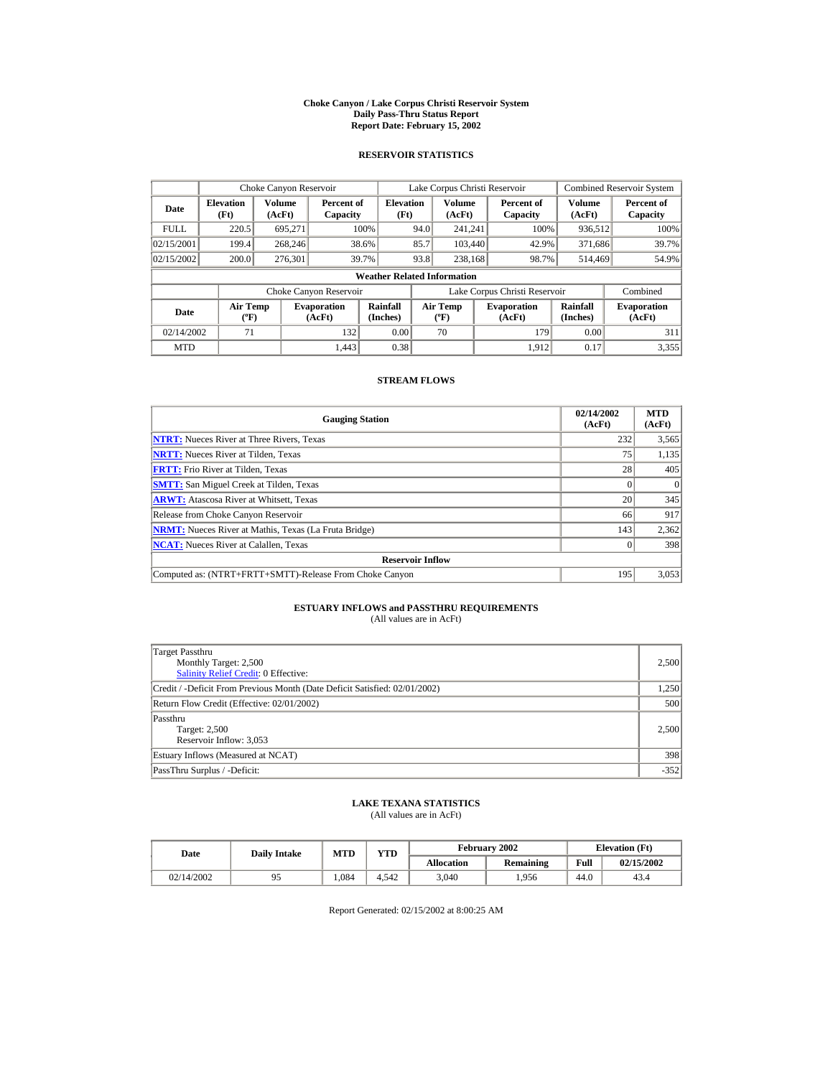#### **Choke Canyon / Lake Corpus Christi Reservoir System Daily Pass-Thru Status Report Report Date: February 15, 2002**

### **RESERVOIR STATISTICS**

|                                                     | Choke Canyon Reservoir   |                  |                              |                                    |      | Lake Corpus Christi Reservoir    |                               |                      | <b>Combined Reservoir System</b> |
|-----------------------------------------------------|--------------------------|------------------|------------------------------|------------------------------------|------|----------------------------------|-------------------------------|----------------------|----------------------------------|
| Date                                                | <b>Elevation</b><br>(Ft) | Volume<br>(AcFt) | Percent of<br>Capacity       | <b>Elevation</b><br>(Ft)           |      | Volume<br>(AcFt)                 | Percent of<br>Capacity        | Volume<br>(AcFt)     | Percent of<br>Capacity           |
| <b>FULL</b>                                         | 220.5                    | 695.271          |                              | 100%                               | 94.0 | 241.241                          | 100%                          | 936,512              | 100%                             |
| 02/15/2001                                          | 199.4                    | 268,246          |                              | 38.6%                              | 85.7 | 103,440                          | 42.9%                         | 371,686              | 39.7%                            |
| 02/15/2002                                          | 200.0                    | 276,301          |                              | 39.7%                              | 93.8 | 238,168                          | 98.7%                         | 514.469              | 54.9%                            |
|                                                     |                          |                  |                              | <b>Weather Related Information</b> |      |                                  |                               |                      |                                  |
|                                                     |                          |                  | Choke Canyon Reservoir       |                                    |      |                                  | Lake Corpus Christi Reservoir |                      | Combined                         |
| <b>Air Temp</b><br>Date<br>$({}^{\circ}\mathrm{F})$ |                          |                  | <b>Evaporation</b><br>(AcFt) | Rainfall<br>(Inches)               |      | <b>Air Temp</b><br>$(^{\circ}F)$ | <b>Evaporation</b><br>(AcFt)  | Rainfall<br>(Inches) | <b>Evaporation</b><br>(AcFt)     |
| 02/14/2002                                          | 71                       |                  | 132                          | 0.00                               |      | 70                               | 179                           | 0.00                 | 311                              |
| <b>MTD</b>                                          |                          |                  | 1.443                        | 0.38                               |      |                                  | 1.912                         | 0.17                 | 3,355                            |

### **STREAM FLOWS**

| <b>Gauging Station</b>                                       | 02/14/2002<br>(AcFt) | <b>MTD</b><br>(AcFt) |
|--------------------------------------------------------------|----------------------|----------------------|
| <b>NTRT:</b> Nueces River at Three Rivers, Texas             | 232                  | 3,565                |
| <b>NRTT:</b> Nueces River at Tilden, Texas                   | 75                   | 1,135                |
| <b>FRTT:</b> Frio River at Tilden, Texas                     | 28                   | 405                  |
| <b>SMTT:</b> San Miguel Creek at Tilden, Texas               |                      | $\Omega$             |
| <b>ARWT:</b> Atascosa River at Whitsett, Texas               | 20                   | 345                  |
| Release from Choke Canyon Reservoir                          | 66                   | 917                  |
| <b>NRMT:</b> Nueces River at Mathis, Texas (La Fruta Bridge) | 143                  | 2,362                |
| <b>NCAT:</b> Nueces River at Calallen. Texas                 |                      | 398                  |
| <b>Reservoir Inflow</b>                                      |                      |                      |
| Computed as: (NTRT+FRTT+SMTT)-Release From Choke Canyon      | 195                  | 3,053                |

# **ESTUARY INFLOWS and PASSTHRU REQUIREMENTS**<br>(All values are in AcFt)

| Target Passthru<br>Monthly Target: 2,500<br><b>Salinity Relief Credit: 0 Effective:</b> | 2,500  |
|-----------------------------------------------------------------------------------------|--------|
| Credit / -Deficit From Previous Month (Date Deficit Satisfied: 02/01/2002)              | 1,250  |
| Return Flow Credit (Effective: 02/01/2002)                                              | 500    |
| Passthru<br>Target: 2,500<br>Reservoir Inflow: 3,053                                    | 2.500  |
| Estuary Inflows (Measured at NCAT)                                                      | 398    |
| PassThru Surplus / -Deficit:                                                            | $-352$ |

## **LAKE TEXANA STATISTICS**

(All values are in AcFt)

| Date       | <b>Daily Intake</b> | <b>MTD</b> | $_{\rm VTD}$ |                   | February 2002 |      | <b>Elevation</b> (Ft) |
|------------|---------------------|------------|--------------|-------------------|---------------|------|-----------------------|
|            |                     |            |              | <b>Allocation</b> | Remaining     | Full | 02/15/2002            |
| 02/14/2002 |                     | .084       | 4.542        | 3,040             | .956          | 44.0 | 43.4                  |

Report Generated: 02/15/2002 at 8:00:25 AM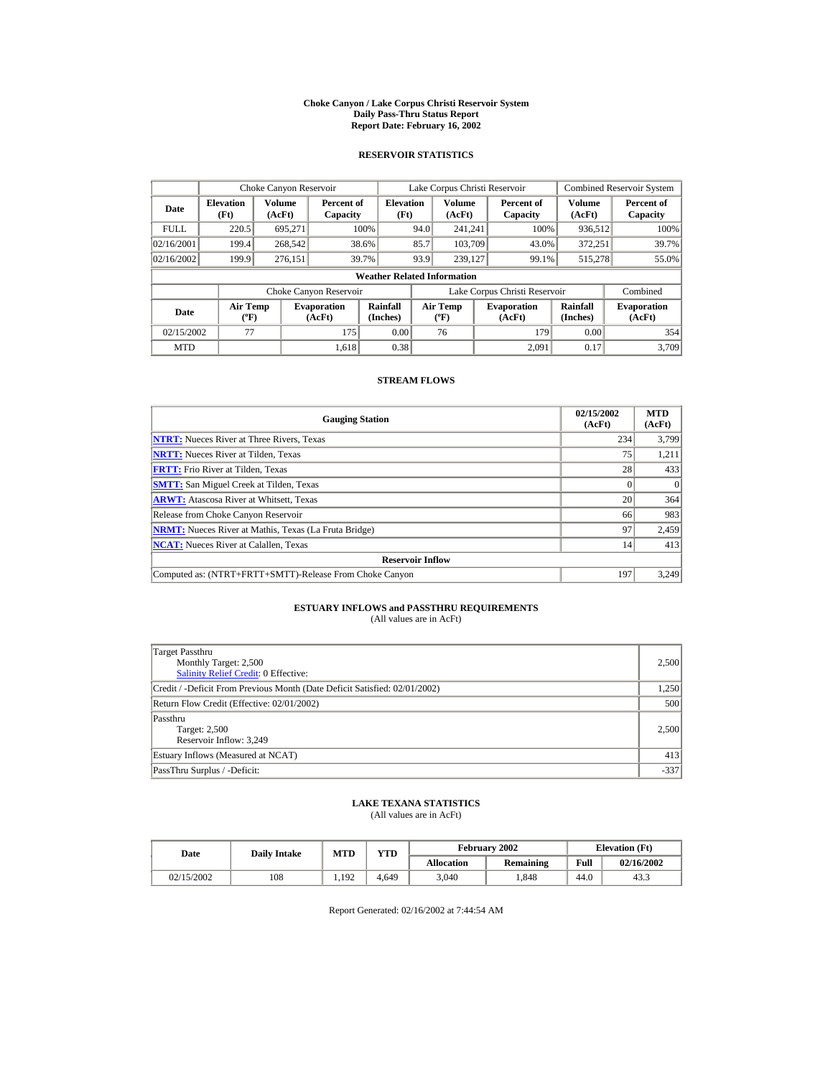#### **Choke Canyon / Lake Corpus Christi Reservoir System Daily Pass-Thru Status Report Report Date: February 16, 2002**

### **RESERVOIR STATISTICS**

|                                                     | Choke Canyon Reservoir             |                  |                              |                          |                               | Lake Corpus Christi Reservoir    |  |                              |                      | <b>Combined Reservoir System</b> |  |
|-----------------------------------------------------|------------------------------------|------------------|------------------------------|--------------------------|-------------------------------|----------------------------------|--|------------------------------|----------------------|----------------------------------|--|
| Date                                                | <b>Elevation</b><br>(Ft)           | Volume<br>(AcFt) | Percent of<br>Capacity       | <b>Elevation</b><br>(Ft) |                               | Volume<br>(AcFt)                 |  | Percent of<br>Capacity       | Volume<br>(AcFt)     | Percent of<br>Capacity           |  |
| <b>FULL</b>                                         | 220.5                              | 695.271          |                              | 100%                     | 94.0                          | 241.241                          |  | 100%                         | 936,512              | 100%                             |  |
| 02/16/2001                                          | 199.4                              | 268,542          |                              | 38.6%                    | 85.7                          | 103.709                          |  | 43.0%                        | 372.251              | 39.7%                            |  |
| 02/16/2002                                          | 199.9                              | 276.151          |                              | 39.7%                    | 93.9                          | 239,127                          |  | 99.1%                        | 515.278              | 55.0%                            |  |
|                                                     | <b>Weather Related Information</b> |                  |                              |                          |                               |                                  |  |                              |                      |                                  |  |
|                                                     |                                    |                  | Choke Canyon Reservoir       |                          | Lake Corpus Christi Reservoir |                                  |  |                              | Combined             |                                  |  |
| <b>Air Temp</b><br>Date<br>$({}^{\circ}\mathrm{F})$ |                                    |                  | <b>Evaporation</b><br>(AcFt) | Rainfall<br>(Inches)     |                               | <b>Air Temp</b><br>$(^{\circ}F)$ |  | <b>Evaporation</b><br>(AcFt) | Rainfall<br>(Inches) | <b>Evaporation</b><br>(AcFt)     |  |
| 02/15/2002                                          | 77                                 |                  | 175                          | 0.00                     |                               | 76                               |  | 179                          | 0.00                 | 354                              |  |
| <b>MTD</b>                                          |                                    |                  | 1.618                        | 0.38                     |                               |                                  |  | 2.091                        | 0.17                 | 3.709                            |  |

### **STREAM FLOWS**

| <b>Gauging Station</b>                                       | 02/15/2002<br>(AcFt) | <b>MTD</b><br>(AcFt) |
|--------------------------------------------------------------|----------------------|----------------------|
| <b>NTRT:</b> Nueces River at Three Rivers, Texas             | 234                  | 3,799                |
| <b>NRTT:</b> Nueces River at Tilden, Texas                   | 75                   | 1,211                |
| <b>FRTT:</b> Frio River at Tilden, Texas                     | 28                   | 433                  |
| <b>SMTT:</b> San Miguel Creek at Tilden, Texas               |                      | $\Omega$             |
| <b>ARWT:</b> Atascosa River at Whitsett, Texas               | 20                   | 364                  |
| Release from Choke Canyon Reservoir                          | 66                   | 983                  |
| <b>NRMT:</b> Nueces River at Mathis, Texas (La Fruta Bridge) | 97                   | 2,459                |
| <b>NCAT:</b> Nueces River at Calallen, Texas                 | 14                   | 413                  |
| <b>Reservoir Inflow</b>                                      |                      |                      |
| Computed as: (NTRT+FRTT+SMTT)-Release From Choke Canyon      | 197                  | 3,249                |

# **ESTUARY INFLOWS and PASSTHRU REQUIREMENTS**<br>(All values are in AcFt)

| Target Passthru<br>Monthly Target: 2,500<br><b>Salinity Relief Credit: 0 Effective:</b> | 2,500  |
|-----------------------------------------------------------------------------------------|--------|
| Credit / -Deficit From Previous Month (Date Deficit Satisfied: 02/01/2002)              | 1,250  |
| Return Flow Credit (Effective: 02/01/2002)                                              | 500    |
| Passthru<br>Target: 2,500<br>Reservoir Inflow: 3,249                                    | 2.500  |
| Estuary Inflows (Measured at NCAT)                                                      | 413    |
| PassThru Surplus / -Deficit:                                                            | $-337$ |

## **LAKE TEXANA STATISTICS**

(All values are in AcFt)

| Date       | <b>Daily Intake</b> | <b>MTD</b> | $\mathbf{v}\mathbf{T}\mathbf{D}$ |                   | February 2002 |      | <b>Elevation</b> (Ft) |
|------------|---------------------|------------|----------------------------------|-------------------|---------------|------|-----------------------|
|            |                     |            |                                  | <b>Allocation</b> | Remaining     | Full | 02/16/2002            |
| 02/15/2002 | 108                 | 1.192      | 4.649                            | 3,040             | .848          | 44.0 | 43.3                  |

Report Generated: 02/16/2002 at 7:44:54 AM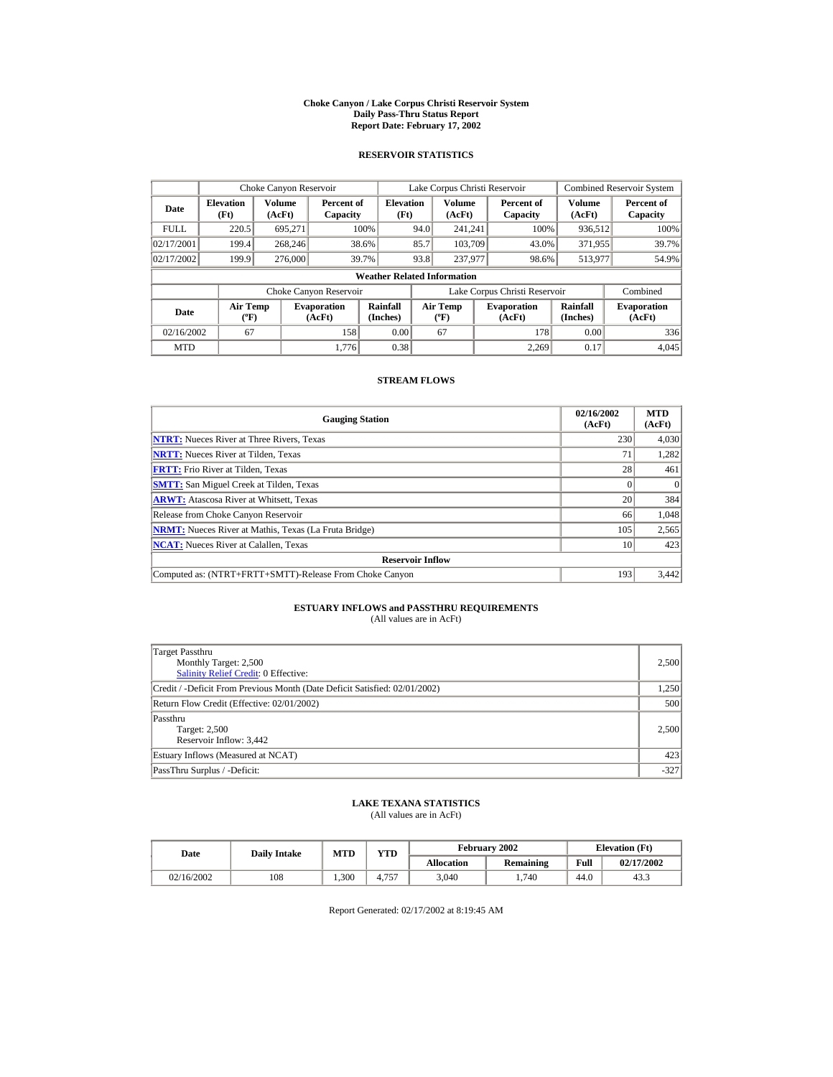#### **Choke Canyon / Lake Corpus Christi Reservoir System Daily Pass-Thru Status Report Report Date: February 17, 2002**

### **RESERVOIR STATISTICS**

|                                                     | Choke Canyon Reservoir   |                  |                              |                                    |                               | Lake Corpus Christi Reservoir             |  |                              |                         | <b>Combined Reservoir System</b> |
|-----------------------------------------------------|--------------------------|------------------|------------------------------|------------------------------------|-------------------------------|-------------------------------------------|--|------------------------------|-------------------------|----------------------------------|
| Date                                                | <b>Elevation</b><br>(Ft) | Volume<br>(AcFt) | Percent of<br>Capacity       | <b>Elevation</b><br>(Ft)           |                               | Volume<br>(AcFt)                          |  | Percent of<br>Capacity       | <b>Volume</b><br>(AcFt) | Percent of<br>Capacity           |
| <b>FULL</b>                                         | 220.5                    | 695,271          |                              | 100%                               | 94.0                          | 241.241                                   |  | 100%                         | 936,512                 | 100%                             |
| 02/17/2001                                          | 199.4                    | 268,246          |                              | 38.6%                              | 85.7                          | 103.709                                   |  | 43.0%                        | 371,955                 | 39.7%                            |
| 02/17/2002                                          | 199.9                    | 276,000          |                              | 39.7%                              | 93.8                          | 237,977                                   |  | 98.6%                        | 513,977                 | 54.9%                            |
|                                                     |                          |                  |                              | <b>Weather Related Information</b> |                               |                                           |  |                              |                         |                                  |
|                                                     |                          |                  | Choke Canyon Reservoir       |                                    | Lake Corpus Christi Reservoir |                                           |  |                              | Combined                |                                  |
| <b>Air Temp</b><br>Date<br>$({}^{\circ}\mathrm{F})$ |                          |                  | <b>Evaporation</b><br>(AcFt) | Rainfall<br>(Inches)               |                               | <b>Air Temp</b><br>$({}^{\circ}\text{F})$ |  | <b>Evaporation</b><br>(AcFt) | Rainfall<br>(Inches)    | <b>Evaporation</b><br>(AcFt)     |
| 02/16/2002                                          | 67                       |                  | 158                          | 0.00                               |                               | 67                                        |  | 178                          | 0.00                    | 336                              |
| <b>MTD</b>                                          |                          |                  | 1.776                        | 0.38                               |                               |                                           |  | 2.269                        | 0.17                    | 4.045                            |

### **STREAM FLOWS**

| <b>Gauging Station</b>                                       | 02/16/2002<br>(AcFt) | <b>MTD</b><br>(AcFt) |
|--------------------------------------------------------------|----------------------|----------------------|
| <b>NTRT:</b> Nueces River at Three Rivers, Texas             | 230                  | 4,030                |
| <b>NRTT:</b> Nueces River at Tilden, Texas                   | 71                   | 1,282                |
| <b>FRTT:</b> Frio River at Tilden. Texas                     | 28                   | 461                  |
| <b>SMTT:</b> San Miguel Creek at Tilden, Texas               |                      | $\Omega$             |
| <b>ARWT:</b> Atascosa River at Whitsett, Texas               | 20                   | 384                  |
| Release from Choke Canyon Reservoir                          | 66                   | 1,048                |
| <b>NRMT:</b> Nueces River at Mathis, Texas (La Fruta Bridge) | 105                  | 2,565                |
| <b>NCAT:</b> Nueces River at Calallen, Texas                 | 10                   | 423                  |
| <b>Reservoir Inflow</b>                                      |                      |                      |
| Computed as: (NTRT+FRTT+SMTT)-Release From Choke Canyon      | 193                  | 3,442                |

# **ESTUARY INFLOWS and PASSTHRU REQUIREMENTS**<br>(All values are in AcFt)

| Target Passthru<br>Monthly Target: 2,500<br><b>Salinity Relief Credit: 0 Effective:</b> | 2,500  |
|-----------------------------------------------------------------------------------------|--------|
| Credit / -Deficit From Previous Month (Date Deficit Satisfied: 02/01/2002)              | 1,250  |
| Return Flow Credit (Effective: 02/01/2002)                                              | 500    |
| Passthru<br>Target: 2,500<br>Reservoir Inflow: 3,442                                    | 2.500  |
| Estuary Inflows (Measured at NCAT)                                                      | 423    |
| PassThru Surplus / -Deficit:                                                            | $-327$ |

## **LAKE TEXANA STATISTICS**

(All values are in AcFt)

| Date       | <b>MTD</b><br><b>Daily Intake</b> |      | VTD   |                   | February 2002 | <b>Elevation</b> (Ft) |            |  |
|------------|-----------------------------------|------|-------|-------------------|---------------|-----------------------|------------|--|
|            |                                   |      |       | <b>Allocation</b> | Remaining     | Full                  | 02/17/2002 |  |
| 02/16/2002 | 108                               | .300 | 4.757 | 3,040             | 740           | 44.0                  | 43.3       |  |

Report Generated: 02/17/2002 at 8:19:45 AM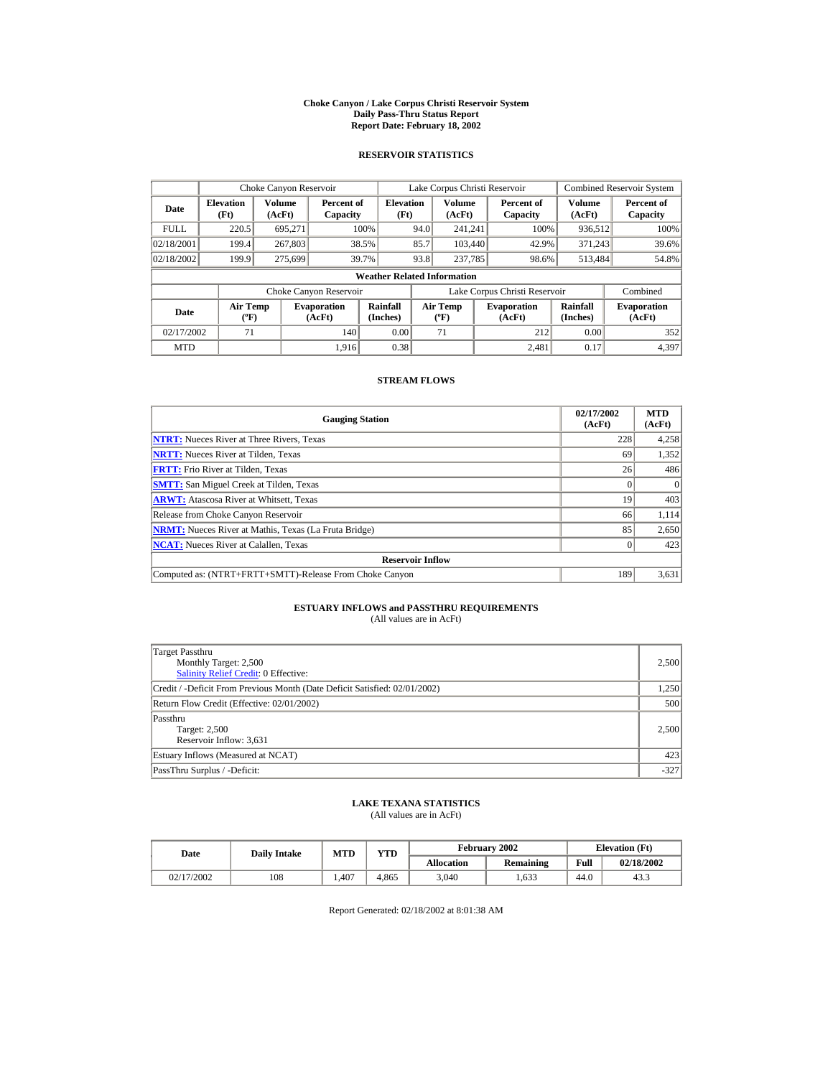#### **Choke Canyon / Lake Corpus Christi Reservoir System Daily Pass-Thru Status Report Report Date: February 18, 2002**

### **RESERVOIR STATISTICS**

|             | Choke Canyon Reservoir                      |                  |                              |                                    |                               | Lake Corpus Christi Reservoir    |  |                              |                      | <b>Combined Reservoir System</b> |
|-------------|---------------------------------------------|------------------|------------------------------|------------------------------------|-------------------------------|----------------------------------|--|------------------------------|----------------------|----------------------------------|
| Date        | <b>Elevation</b><br>(Ft)                    | Volume<br>(AcFt) | Percent of<br>Capacity       | <b>Elevation</b><br>(Ft)           |                               | Volume<br>(AcFt)                 |  | Percent of<br>Capacity       | Volume<br>(AcFt)     | Percent of<br>Capacity           |
| <b>FULL</b> | 220.5                                       | 695.271          |                              | 100%                               | 94.0                          | 241.241                          |  | 100%                         | 936,512              | 100%                             |
| 02/18/2001  | 199.4                                       | 267,803          |                              | 38.5%                              | 85.7                          | 103,440                          |  | 42.9%                        | 371.243              | 39.6%                            |
| 02/18/2002  | 199.9                                       | 275,699          |                              | 39.7%                              | 93.8                          | 237,785                          |  | 98.6%                        | 513.484              | 54.8%                            |
|             |                                             |                  |                              | <b>Weather Related Information</b> |                               |                                  |  |                              |                      |                                  |
|             |                                             |                  | Choke Canyon Reservoir       |                                    | Lake Corpus Christi Reservoir |                                  |  |                              | Combined             |                                  |
| Date        | <b>Air Temp</b><br>$({}^{\circ}\mathrm{F})$ |                  | <b>Evaporation</b><br>(AcFt) | Rainfall<br>(Inches)               |                               | <b>Air Temp</b><br>$(^{\circ}F)$ |  | <b>Evaporation</b><br>(AcFt) | Rainfall<br>(Inches) | <b>Evaporation</b><br>(AcFt)     |
| 02/17/2002  | 71                                          |                  | 140                          | 0.00                               |                               | 71                               |  | 212                          | 0.00                 | 352                              |
| <b>MTD</b>  |                                             |                  | 1.916                        | 0.38                               |                               |                                  |  | 2.481                        | 0.17                 | 4,397                            |

### **STREAM FLOWS**

| <b>Gauging Station</b>                                       | 02/17/2002<br>(AcFt) | <b>MTD</b><br>(AcFt) |
|--------------------------------------------------------------|----------------------|----------------------|
| <b>NTRT:</b> Nueces River at Three Rivers, Texas             | 228                  | 4,258                |
| <b>NRTT:</b> Nueces River at Tilden, Texas                   | 69                   | 1,352                |
| <b>FRTT:</b> Frio River at Tilden, Texas                     | 26                   | 486                  |
| <b>SMTT:</b> San Miguel Creek at Tilden, Texas               |                      | $\Omega$             |
| <b>ARWT:</b> Atascosa River at Whitsett, Texas               | 19                   | 403                  |
| Release from Choke Canyon Reservoir                          | 66                   | 1,114                |
| <b>NRMT:</b> Nueces River at Mathis, Texas (La Fruta Bridge) | 85                   | 2,650                |
| <b>NCAT:</b> Nueces River at Calallen, Texas                 |                      | 423                  |
| <b>Reservoir Inflow</b>                                      |                      |                      |
| Computed as: (NTRT+FRTT+SMTT)-Release From Choke Canyon      | 189                  | 3,631                |

# **ESTUARY INFLOWS and PASSTHRU REQUIREMENTS**<br>(All values are in AcFt)

| Target Passthru<br>Monthly Target: 2,500<br><b>Salinity Relief Credit: 0 Effective:</b> | 2,500  |
|-----------------------------------------------------------------------------------------|--------|
| Credit / -Deficit From Previous Month (Date Deficit Satisfied: 02/01/2002)              | 1,250  |
| Return Flow Credit (Effective: 02/01/2002)                                              | 500    |
| Passthru<br><b>Target: 2,500</b><br>Reservoir Inflow: 3,631                             | 2,500  |
| Estuary Inflows (Measured at NCAT)                                                      | 423    |
| PassThru Surplus / -Deficit:                                                            | $-327$ |

## **LAKE TEXANA STATISTICS**

(All values are in AcFt)

| Date       | <b>Daily Intake</b> | YTD<br><b>MTD</b> |       |                   | <b>February 2002</b> |      | <b>Elevation</b> (Ft) |
|------------|---------------------|-------------------|-------|-------------------|----------------------|------|-----------------------|
|            |                     |                   |       | <b>Allocation</b> | Remaining            | Full | 02/18/2002            |
| 02/17/2002 | 108                 | . 407             | 4.865 | 3,040             | .633                 | 44.0 | 43.3                  |

Report Generated: 02/18/2002 at 8:01:38 AM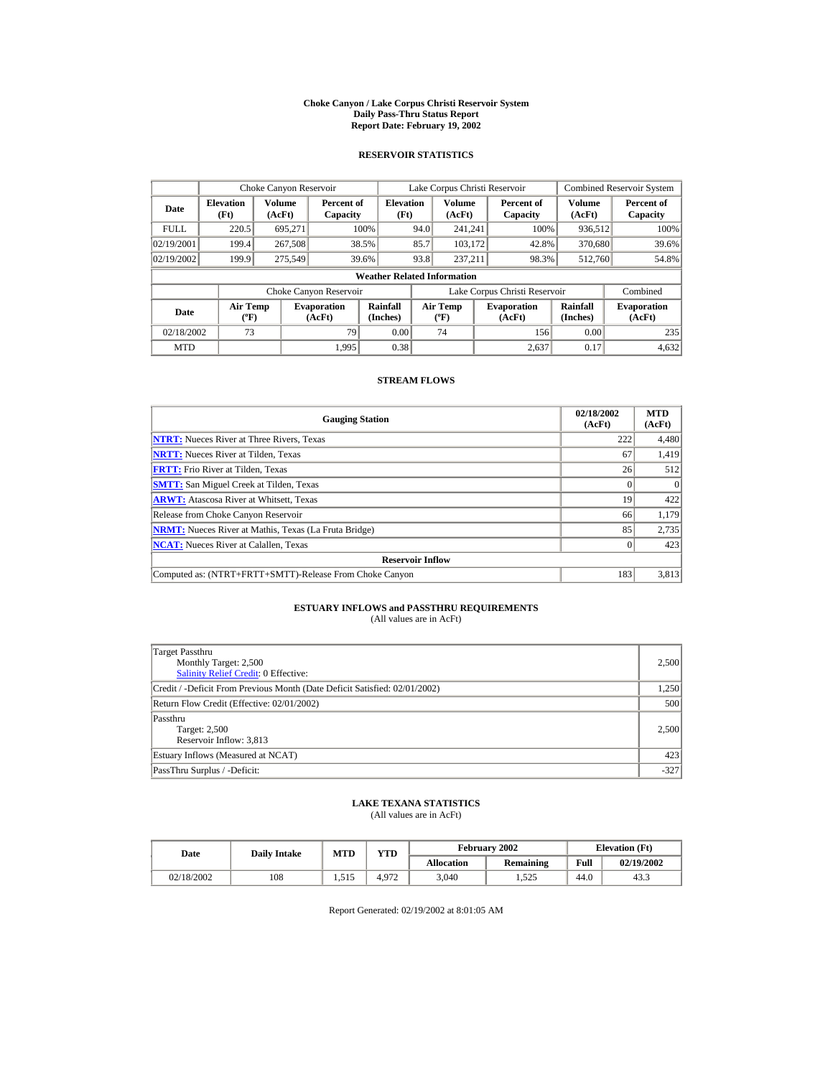#### **Choke Canyon / Lake Corpus Christi Reservoir System Daily Pass-Thru Status Report Report Date: February 19, 2002**

### **RESERVOIR STATISTICS**

|             | Choke Canyon Reservoir                       |         |                              |                          |      | Lake Corpus Christi Reservoir           |  |                               |                      | <b>Combined Reservoir System</b> |  |
|-------------|----------------------------------------------|---------|------------------------------|--------------------------|------|-----------------------------------------|--|-------------------------------|----------------------|----------------------------------|--|
| Date        | Volume<br><b>Elevation</b><br>(Ft)<br>(AcFt) |         | Percent of<br>Capacity       | <b>Elevation</b><br>(Ft) |      | <b>Volume</b><br>(AcFt)                 |  | Percent of<br>Capacity        | Volume<br>(AcFt)     | Percent of<br>Capacity           |  |
| <b>FULL</b> | 220.5                                        | 695.271 |                              | 100%                     | 94.0 | 241.241                                 |  | 100%                          | 936,512              | 100%                             |  |
| 02/19/2001  | 199.4                                        | 267,508 |                              | 38.5%                    | 85.7 | 103.172                                 |  | 42.8%                         | 370,680              | 39.6%                            |  |
| 02/19/2002  | 199.9                                        | 275,549 |                              | 39.6%                    | 93.8 | 237.211                                 |  | 98.3%                         | 512,760              | 54.8%                            |  |
|             | <b>Weather Related Information</b>           |         |                              |                          |      |                                         |  |                               |                      |                                  |  |
|             |                                              |         | Choke Canyon Reservoir       |                          |      |                                         |  | Lake Corpus Christi Reservoir |                      | Combined                         |  |
| Date        | <b>Air Temp</b><br>$({}^{\circ}\mathrm{F})$  |         | <b>Evaporation</b><br>(AcFt) | Rainfall<br>(Inches)     |      | <b>Air Temp</b><br>$(^{\circ}\text{F})$ |  | <b>Evaporation</b><br>(AcFt)  | Rainfall<br>(Inches) | <b>Evaporation</b><br>(AcFt)     |  |
| 02/18/2002  | 73                                           |         | 79                           | 0.00                     |      | 74                                      |  | 156                           | 0.00                 | 235                              |  |
| <b>MTD</b>  |                                              |         | 1.995                        | 0.38                     |      |                                         |  | 2.637                         | 0.17                 | 4.632                            |  |

### **STREAM FLOWS**

| <b>Gauging Station</b>                                       | 02/18/2002<br>(AcFt) | <b>MTD</b><br>(AcFt) |
|--------------------------------------------------------------|----------------------|----------------------|
| <b>NTRT:</b> Nueces River at Three Rivers, Texas             | 222                  | 4,480                |
| <b>NRTT:</b> Nueces River at Tilden, Texas                   | 67                   | 1,419                |
| <b>FRTT:</b> Frio River at Tilden, Texas                     | 26                   | 512                  |
| <b>SMTT:</b> San Miguel Creek at Tilden, Texas               |                      | $\Omega$             |
| <b>ARWT:</b> Atascosa River at Whitsett, Texas               | 19                   | 422                  |
| Release from Choke Canyon Reservoir                          | 66                   | 1,179                |
| <b>NRMT:</b> Nueces River at Mathis, Texas (La Fruta Bridge) | 85                   | 2.735                |
| <b>NCAT:</b> Nueces River at Calallen, Texas                 |                      | 423                  |
| <b>Reservoir Inflow</b>                                      |                      |                      |
| Computed as: (NTRT+FRTT+SMTT)-Release From Choke Canyon      | 183                  | 3,813                |

# **ESTUARY INFLOWS and PASSTHRU REQUIREMENTS**<br>(All values are in AcFt)

| Target Passthru<br>Monthly Target: 2,500<br><b>Salinity Relief Credit: 0 Effective:</b> | 2,500  |
|-----------------------------------------------------------------------------------------|--------|
| Credit / -Deficit From Previous Month (Date Deficit Satisfied: 02/01/2002)              | 1,250  |
| Return Flow Credit (Effective: 02/01/2002)                                              | 500    |
| Passthru<br>Target: 2,500<br>Reservoir Inflow: 3,813                                    | 2.500  |
| Estuary Inflows (Measured at NCAT)                                                      | 423    |
| PassThru Surplus / -Deficit:                                                            | $-327$ |

## **LAKE TEXANA STATISTICS**

(All values are in AcFt)

| Date       | <b>Daily Intake</b> | <b>MTD</b> | $\mathbf{v}\mathbf{T}\mathbf{D}$ |                   | <b>February 2002</b> | <b>Elevation</b> (Ft) |            |  |
|------------|---------------------|------------|----------------------------------|-------------------|----------------------|-----------------------|------------|--|
|            |                     |            |                                  | <b>Allocation</b> | Remaining            | Full                  | 02/19/2002 |  |
| 02/18/2002 | 108                 | 1.515      | 4.972                            | 3,040             | 1,525                | 44.0                  | 43.3       |  |

Report Generated: 02/19/2002 at 8:01:05 AM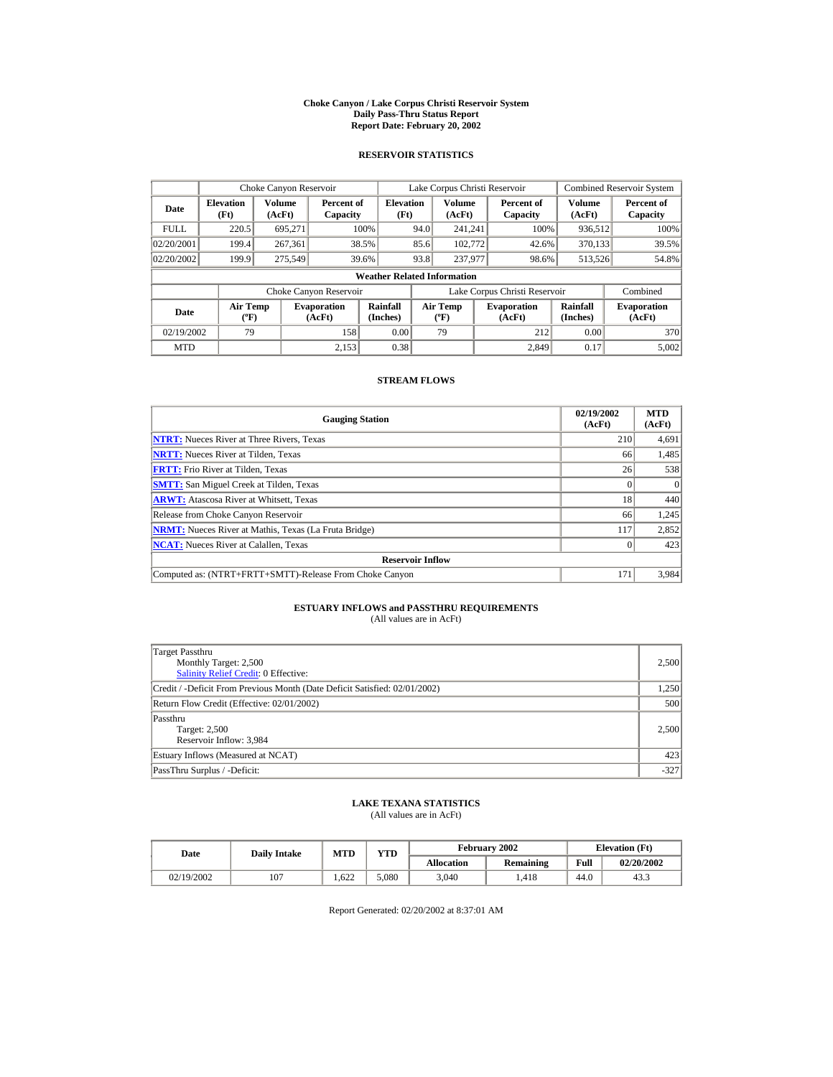#### **Choke Canyon / Lake Corpus Christi Reservoir System Daily Pass-Thru Status Report Report Date: February 20, 2002**

### **RESERVOIR STATISTICS**

|             | Choke Canyon Reservoir             |                                                                                                                                                                                |                        |                          |                              | Lake Corpus Christi Reservoir |  |                               |                  | <b>Combined Reservoir System</b> |  |
|-------------|------------------------------------|--------------------------------------------------------------------------------------------------------------------------------------------------------------------------------|------------------------|--------------------------|------------------------------|-------------------------------|--|-------------------------------|------------------|----------------------------------|--|
| Date        | <b>Elevation</b><br>(Ft)           | Volume<br>(AcFt)                                                                                                                                                               | Percent of<br>Capacity | <b>Elevation</b><br>(Ft) |                              | Volume<br>(AcFt)              |  | Percent of<br>Capacity        | Volume<br>(AcFt) | Percent of<br>Capacity           |  |
| <b>FULL</b> | 220.5                              | 695,271                                                                                                                                                                        |                        | 100%                     | 94.0                         | 241.241                       |  | 100%                          | 936,512          | 100%                             |  |
| 02/20/2001  | 199.4                              | 267,361                                                                                                                                                                        |                        | 38.5%                    | 85.6                         | 102,772                       |  | 42.6%                         | 370,133          | 39.5%                            |  |
| 02/20/2002  | 199.9                              | 275,549                                                                                                                                                                        |                        | 39.6%                    | 93.8                         | 237,977                       |  | 98.6%                         | 513,526          | 54.8%                            |  |
|             | <b>Weather Related Information</b> |                                                                                                                                                                                |                        |                          |                              |                               |  |                               |                  |                                  |  |
|             |                                    |                                                                                                                                                                                | Choke Canyon Reservoir |                          |                              |                               |  | Lake Corpus Christi Reservoir |                  | Combined                         |  |
| Date        |                                    | Rainfall<br><b>Air Temp</b><br><b>Air Temp</b><br><b>Evaporation</b><br><b>Evaporation</b><br>(Inches)<br>$({}^{\circ}\mathrm{F})$<br>(AcFt)<br>(AcFt)<br>$(^{\circ}\text{F})$ |                        | Rainfall<br>(Inches)     | <b>Evaporation</b><br>(AcFt) |                               |  |                               |                  |                                  |  |
| 02/19/2002  | 79                                 |                                                                                                                                                                                | 158                    | 0.00                     |                              | 79                            |  | 212                           | 0.00             | 370                              |  |
| <b>MTD</b>  |                                    |                                                                                                                                                                                | 2.153                  | 0.38                     |                              |                               |  | 2.849                         | 0.17             | 5,002                            |  |

### **STREAM FLOWS**

| <b>Gauging Station</b>                                       | 02/19/2002<br>(AcFt) | <b>MTD</b><br>(AcFt) |
|--------------------------------------------------------------|----------------------|----------------------|
| <b>NTRT:</b> Nueces River at Three Rivers, Texas             | 210                  | 4,691                |
| <b>NRTT:</b> Nueces River at Tilden, Texas                   | 66                   | 1,485                |
| <b>FRTT:</b> Frio River at Tilden. Texas                     | 26                   | 538                  |
| <b>SMTT:</b> San Miguel Creek at Tilden, Texas               |                      | $\Omega$             |
| <b>ARWT:</b> Atascosa River at Whitsett, Texas               | 18                   | 440                  |
| Release from Choke Canyon Reservoir                          | 66                   | 1,245                |
| <b>NRMT:</b> Nueces River at Mathis, Texas (La Fruta Bridge) | 117                  | 2,852                |
| <b>NCAT:</b> Nueces River at Calallen, Texas                 |                      | 423                  |
| <b>Reservoir Inflow</b>                                      |                      |                      |
| Computed as: (NTRT+FRTT+SMTT)-Release From Choke Canyon      | 171                  | 3,984                |

# **ESTUARY INFLOWS and PASSTHRU REQUIREMENTS**<br>(All values are in AcFt)

| Target Passthru<br>Monthly Target: 2,500<br><b>Salinity Relief Credit: 0 Effective:</b> | 2,500  |
|-----------------------------------------------------------------------------------------|--------|
| Credit / -Deficit From Previous Month (Date Deficit Satisfied: 02/01/2002)              | 1,250  |
| Return Flow Credit (Effective: 02/01/2002)                                              | 500    |
| Passthru<br>Target: 2,500<br>Reservoir Inflow: 3,984                                    | 2.500  |
| Estuary Inflows (Measured at NCAT)                                                      | 423    |
| PassThru Surplus / -Deficit:                                                            | $-327$ |

## **LAKE TEXANA STATISTICS**

(All values are in AcFt)

| Date       |     | $\mathbf{v}\mathbf{T}\mathbf{D}$<br><b>MTD</b><br><b>Daily Intake</b> |       |                   | February 2002 | <b>Elevation</b> (Ft) |            |
|------------|-----|-----------------------------------------------------------------------|-------|-------------------|---------------|-----------------------|------------|
|            |     |                                                                       |       | <b>Allocation</b> | Remaining     | Full                  | 02/20/2002 |
| 02/19/2002 | 107 | .622                                                                  | 5.080 | 3,040             | .418          | 44.0                  | 43.3       |

Report Generated: 02/20/2002 at 8:37:01 AM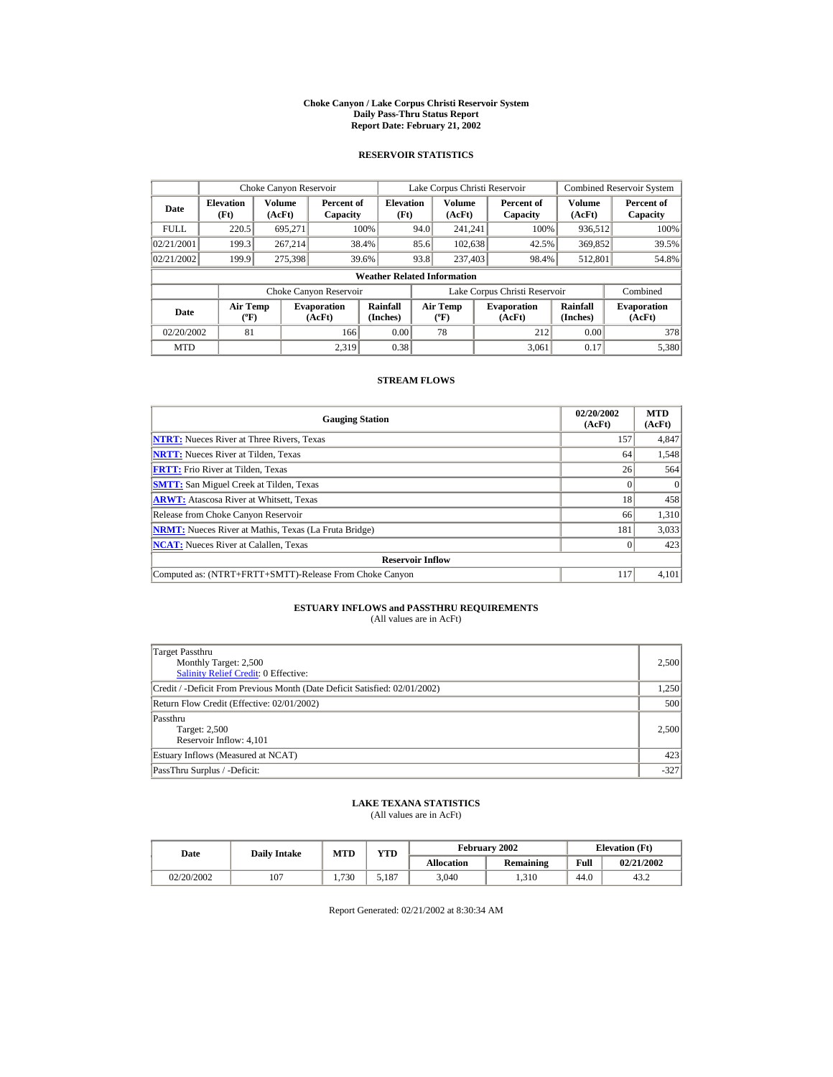#### **Choke Canyon / Lake Corpus Christi Reservoir System Daily Pass-Thru Status Report Report Date: February 21, 2002**

### **RESERVOIR STATISTICS**

|             | Choke Canyon Reservoir                      |                  |                              |                                                                                                                  |                               | Lake Corpus Christi Reservoir |  |                        |                  | <b>Combined Reservoir System</b> |  |
|-------------|---------------------------------------------|------------------|------------------------------|------------------------------------------------------------------------------------------------------------------|-------------------------------|-------------------------------|--|------------------------|------------------|----------------------------------|--|
| Date        | <b>Elevation</b><br>(Ft)                    | Volume<br>(AcFt) | Percent of<br>Capacity       | <b>Elevation</b><br>(Ft)                                                                                         |                               | Volume<br>(AcFt)              |  | Percent of<br>Capacity | Volume<br>(AcFt) | Percent of<br>Capacity           |  |
| <b>FULL</b> | 220.5                                       | 695.271          |                              | 100%                                                                                                             | 94.0                          | 241.241                       |  | 100%                   | 936,512          | 100%                             |  |
| 02/21/2001  | 199.3                                       | 267.214          |                              | 38.4%                                                                                                            | 85.6                          | 102,638                       |  | 42.5%                  | 369,852          | 39.5%                            |  |
| 02/21/2002  | 199.9                                       | 275,398          |                              | 39.6%                                                                                                            | 93.8                          | 237,403                       |  | 98.4%                  | 512,801          | 54.8%                            |  |
|             | <b>Weather Related Information</b>          |                  |                              |                                                                                                                  |                               |                               |  |                        |                  |                                  |  |
|             |                                             |                  | Choke Canyon Reservoir       |                                                                                                                  | Lake Corpus Christi Reservoir |                               |  |                        | Combined         |                                  |  |
| Date        | <b>Air Temp</b><br>$({}^{\circ}\mathrm{F})$ |                  | <b>Evaporation</b><br>(AcFt) | Rainfall<br>Rainfall<br><b>Air Temp</b><br><b>Evaporation</b><br>(Inches)<br>(Inches)<br>$(^{\circ}F)$<br>(AcFt) |                               | <b>Evaporation</b><br>(AcFt)  |  |                        |                  |                                  |  |
| 02/20/2002  | 81                                          |                  | 166                          | 0.00                                                                                                             |                               | 78                            |  | 212                    | 0.00             | 378                              |  |
| <b>MTD</b>  |                                             |                  | 2.319                        | 0.38                                                                                                             |                               |                               |  | 3.061                  | 0.17             | 5,380                            |  |

### **STREAM FLOWS**

| <b>Gauging Station</b>                                       | 02/20/2002<br>(AcFt) | <b>MTD</b><br>(AcFt) |
|--------------------------------------------------------------|----------------------|----------------------|
| <b>NTRT:</b> Nueces River at Three Rivers, Texas             | 157                  | 4,847                |
| <b>NRTT:</b> Nueces River at Tilden, Texas                   | 64                   | 1,548                |
| <b>FRTT:</b> Frio River at Tilden, Texas                     | 26                   | 564                  |
| <b>SMTT:</b> San Miguel Creek at Tilden, Texas               |                      | $\Omega$             |
| <b>ARWT:</b> Atascosa River at Whitsett, Texas               | 18                   | 458                  |
| Release from Choke Canyon Reservoir                          | 66                   | 1,310                |
| <b>NRMT:</b> Nueces River at Mathis, Texas (La Fruta Bridge) | 181                  | 3,033                |
| <b>NCAT:</b> Nueces River at Calallen, Texas                 |                      | 423                  |
| <b>Reservoir Inflow</b>                                      |                      |                      |
| Computed as: (NTRT+FRTT+SMTT)-Release From Choke Canyon      | 117                  | 4,101                |

# **ESTUARY INFLOWS and PASSTHRU REQUIREMENTS**<br>(All values are in AcFt)

| Target Passthru<br>Monthly Target: 2,500<br>Salinity Relief Credit: 0 Effective: | 2,500  |
|----------------------------------------------------------------------------------|--------|
| Credit / -Deficit From Previous Month (Date Deficit Satisfied: 02/01/2002)       | 1,250  |
| Return Flow Credit (Effective: 02/01/2002)                                       | 500    |
| Passthru<br>Target: 2,500<br>Reservoir Inflow: 4,101                             | 2,500  |
| Estuary Inflows (Measured at NCAT)                                               | 423    |
| PassThru Surplus / -Deficit:                                                     | $-327$ |

## **LAKE TEXANA STATISTICS**

(All values are in AcFt)

| Date       | <b>Daily Intake</b> | <b>MTD</b> | YTD   |                   | February 2002 |      | <b>Elevation</b> (Ft) |
|------------|---------------------|------------|-------|-------------------|---------------|------|-----------------------|
|            |                     |            |       | <b>Allocation</b> | Remaining     | Full | 02/21/2002            |
| 02/20/2002 | 107                 | .730       | 5.187 | 3.040             | 1.310         | 44.0 | 43.2                  |

Report Generated: 02/21/2002 at 8:30:34 AM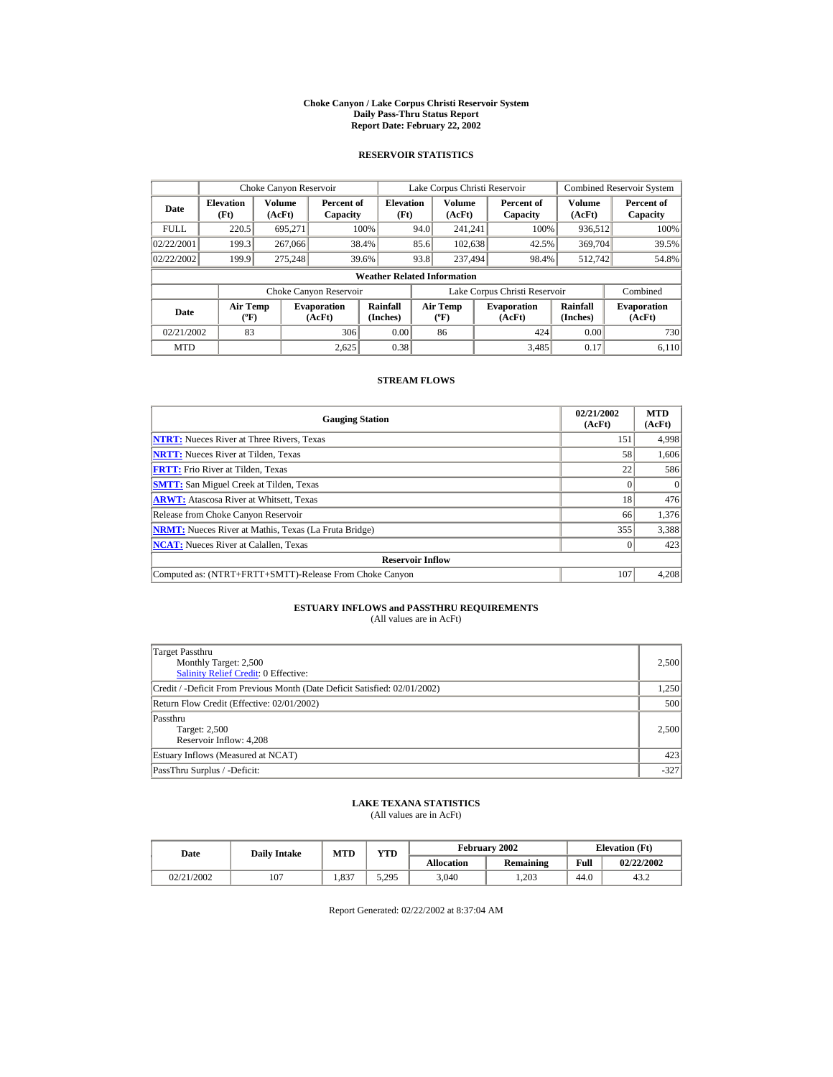#### **Choke Canyon / Lake Corpus Christi Reservoir System Daily Pass-Thru Status Report Report Date: February 22, 2002**

### **RESERVOIR STATISTICS**

|                                                                                     | Choke Canyon Reservoir                       |         |                        |                                    |                               | Lake Corpus Christi Reservoir    |                  |                              |                      | <b>Combined Reservoir System</b> |
|-------------------------------------------------------------------------------------|----------------------------------------------|---------|------------------------|------------------------------------|-------------------------------|----------------------------------|------------------|------------------------------|----------------------|----------------------------------|
| Date                                                                                | Volume<br><b>Elevation</b><br>(Ft)<br>(AcFt) |         | Percent of<br>Capacity |                                    | <b>Elevation</b><br>(Ft)      |                                  | Volume<br>(AcFt) | Percent of<br>Capacity       | Volume<br>(AcFt)     | Percent of<br>Capacity           |
| <b>FULL</b>                                                                         | 220.5                                        | 695.271 |                        | 100%                               | 94.0                          | 241.241                          |                  | 100%                         | 936,512              | 100%                             |
| 02/22/2001                                                                          | 199.3                                        | 267,066 |                        | 38.4%                              | 85.6                          | 102,638                          |                  | 42.5%                        | 369,704              | 39.5%                            |
| 02/22/2002                                                                          | 199.9                                        | 275.248 |                        | 39.6%                              | 93.8                          | 237,494                          |                  | 98.4%                        | 512.742              | 54.8%                            |
|                                                                                     |                                              |         |                        | <b>Weather Related Information</b> |                               |                                  |                  |                              |                      |                                  |
|                                                                                     |                                              |         | Choke Canyon Reservoir |                                    | Lake Corpus Christi Reservoir |                                  |                  |                              | Combined             |                                  |
| <b>Air Temp</b><br><b>Evaporation</b><br>Date<br>$({}^{\circ}\mathrm{F})$<br>(AcFt) |                                              |         |                        | Rainfall<br>(Inches)               |                               | <b>Air Temp</b><br>$(^{\circ}F)$ |                  | <b>Evaporation</b><br>(AcFt) | Rainfall<br>(Inches) | <b>Evaporation</b><br>(AcFt)     |
| 02/21/2002                                                                          | 83                                           |         | 306                    | 0.00                               |                               | 86                               |                  | 424                          | 0.00                 | 730                              |
| <b>MTD</b>                                                                          |                                              |         | 2.625                  | 0.38                               |                               |                                  |                  | 3.485                        | 0.17                 | 6.110                            |

### **STREAM FLOWS**

| <b>Gauging Station</b>                                       | 02/21/2002<br>(AcFt) | <b>MTD</b><br>(AcFt) |
|--------------------------------------------------------------|----------------------|----------------------|
| <b>NTRT:</b> Nueces River at Three Rivers, Texas             | 151                  | 4,998                |
| <b>NRTT:</b> Nueces River at Tilden, Texas                   | 58                   | 1,606                |
| <b>FRTT:</b> Frio River at Tilden, Texas                     | 22                   | 586                  |
| <b>SMTT:</b> San Miguel Creek at Tilden, Texas               |                      | $\theta$             |
| <b>ARWT:</b> Atascosa River at Whitsett, Texas               | 18                   | 476                  |
| Release from Choke Canyon Reservoir                          | 66                   | 1,376                |
| <b>NRMT:</b> Nueces River at Mathis, Texas (La Fruta Bridge) | 355                  | 3,388                |
| <b>NCAT:</b> Nueces River at Calallen, Texas                 |                      | 423                  |
| <b>Reservoir Inflow</b>                                      |                      |                      |
| Computed as: (NTRT+FRTT+SMTT)-Release From Choke Canyon      | 107                  | 4,208                |

# **ESTUARY INFLOWS and PASSTHRU REQUIREMENTS**<br>(All values are in AcFt)

| Target Passthru<br>Monthly Target: 2,500<br><b>Salinity Relief Credit: 0 Effective:</b> | 2,500  |
|-----------------------------------------------------------------------------------------|--------|
| Credit / -Deficit From Previous Month (Date Deficit Satisfied: 02/01/2002)              | 1,250  |
| Return Flow Credit (Effective: 02/01/2002)                                              | 500    |
| Passthru<br>Target: 2,500<br>Reservoir Inflow: 4,208                                    | 2.500  |
| Estuary Inflows (Measured at NCAT)                                                      | 423    |
| PassThru Surplus / -Deficit:                                                            | $-327$ |

## **LAKE TEXANA STATISTICS**

(All values are in AcFt)

| Date       | <b>Daily Intake</b> |      | February 2002<br>VTD<br><b>MTD</b> |                   |           |      | <b>Elevation</b> (Ft) |
|------------|---------------------|------|------------------------------------|-------------------|-----------|------|-----------------------|
|            |                     |      |                                    | <b>Allocation</b> | Remaining | Full | 02/22/2002            |
| 02/21/2002 | 107                 | .337 | 5.295                              | 3,040             | 1.203     | 44.0 | 43.2                  |

Report Generated: 02/22/2002 at 8:37:04 AM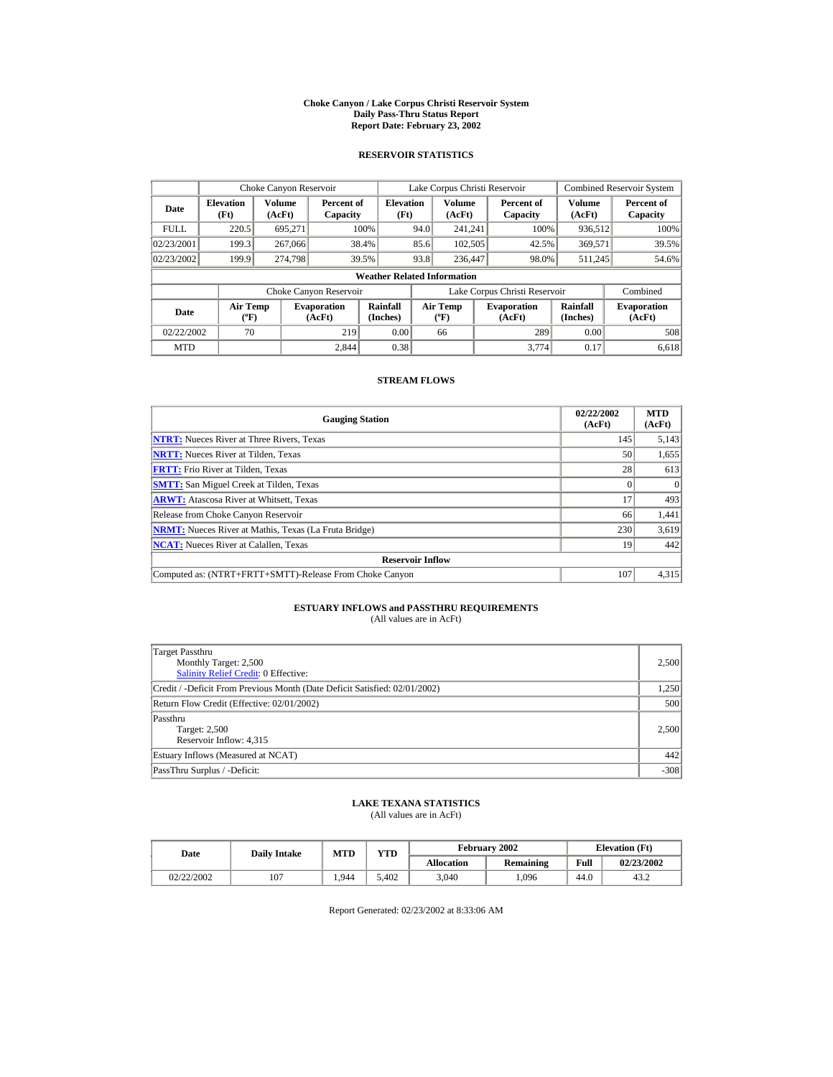#### **Choke Canyon / Lake Corpus Christi Reservoir System Daily Pass-Thru Status Report Report Date: February 23, 2002**

### **RESERVOIR STATISTICS**

|                                                                                     | Choke Canyon Reservoir   |                  |                        |                                    |                               | Lake Corpus Christi Reservoir    |  |                              |                      | <b>Combined Reservoir System</b> |
|-------------------------------------------------------------------------------------|--------------------------|------------------|------------------------|------------------------------------|-------------------------------|----------------------------------|--|------------------------------|----------------------|----------------------------------|
| Date                                                                                | <b>Elevation</b><br>(Ft) | Volume<br>(AcFt) | Percent of<br>Capacity | <b>Elevation</b><br>(Ft)           |                               | Volume<br>(AcFt)                 |  | Percent of<br>Capacity       | Volume<br>(AcFt)     | Percent of<br>Capacity           |
| <b>FULL</b>                                                                         | 220.5                    | 695.271          |                        | 100%                               | 94.0                          | 241.241                          |  | 100%                         | 936,512              | 100%                             |
| 02/23/2001                                                                          | 199.3                    | 267,066          |                        | 38.4%                              | 85.6                          | 102,505                          |  | 42.5%                        | 369,571              | 39.5%                            |
| 02/23/2002                                                                          | 199.9                    | 274.798          |                        | 39.5%                              | 93.8                          | 236,447                          |  | 98.0%                        | 511.245              | 54.6%                            |
|                                                                                     |                          |                  |                        | <b>Weather Related Information</b> |                               |                                  |  |                              |                      |                                  |
|                                                                                     |                          |                  | Choke Canyon Reservoir |                                    | Lake Corpus Christi Reservoir |                                  |  |                              | Combined             |                                  |
| <b>Air Temp</b><br><b>Evaporation</b><br>Date<br>$({}^{\circ}\mathrm{F})$<br>(AcFt) |                          |                  |                        | Rainfall<br>(Inches)               |                               | <b>Air Temp</b><br>$(^{\circ}F)$ |  | <b>Evaporation</b><br>(AcFt) | Rainfall<br>(Inches) | <b>Evaporation</b><br>(AcFt)     |
| 02/22/2002                                                                          | 70                       |                  | 219                    | 0.00                               |                               | 66                               |  | 289                          | 0.00                 | 508                              |
| <b>MTD</b>                                                                          |                          |                  | 2.844                  | 0.38                               |                               |                                  |  | 3.774                        | 0.17                 | 6,618                            |

### **STREAM FLOWS**

| <b>Gauging Station</b>                                       | 02/22/2002<br>(AcFt) | <b>MTD</b><br>(AcFt) |
|--------------------------------------------------------------|----------------------|----------------------|
| <b>NTRT:</b> Nueces River at Three Rivers, Texas             | 145                  | 5,143                |
| <b>NRTT:</b> Nueces River at Tilden, Texas                   | 50                   | 1,655                |
| <b>FRTT:</b> Frio River at Tilden, Texas                     | 28                   | 613                  |
| <b>SMTT:</b> San Miguel Creek at Tilden, Texas               |                      | $\Omega$             |
| <b>ARWT:</b> Atascosa River at Whitsett, Texas               | 17                   | 493                  |
| Release from Choke Canyon Reservoir                          | 66                   | 1,441                |
| <b>NRMT:</b> Nueces River at Mathis, Texas (La Fruta Bridge) | 230                  | 3,619                |
| <b>NCAT:</b> Nueces River at Calallen, Texas                 | 19                   | 442                  |
| <b>Reservoir Inflow</b>                                      |                      |                      |
| Computed as: (NTRT+FRTT+SMTT)-Release From Choke Canyon      | 107                  | 4,315                |

# **ESTUARY INFLOWS and PASSTHRU REQUIREMENTS**<br>(All values are in AcFt)

| Target Passthru<br>Monthly Target: 2,500<br><b>Salinity Relief Credit: 0 Effective:</b> | 2,500  |
|-----------------------------------------------------------------------------------------|--------|
| Credit / -Deficit From Previous Month (Date Deficit Satisfied: 02/01/2002)              | 1,250  |
| Return Flow Credit (Effective: 02/01/2002)                                              | 500    |
| Passthru<br>Target: 2,500<br>Reservoir Inflow: 4,315                                    | 2.500  |
| Estuary Inflows (Measured at NCAT)                                                      | 442    |
| PassThru Surplus / -Deficit:                                                            | $-308$ |

## **LAKE TEXANA STATISTICS**

(All values are in AcFt)

| Date       | <b>Daily Intake</b> | <b>MTD</b> | $\mathbf{v}\mathbf{T}\mathbf{D}$ |                   | February 2002 | <b>Elevation</b> (Ft) |            |
|------------|---------------------|------------|----------------------------------|-------------------|---------------|-----------------------|------------|
|            |                     |            |                                  | <b>Allocation</b> | Remaining     | Full                  | 02/23/2002 |
| 02/22/2002 | 107                 | .944       | 5.402                            | 3,040             | ,096          | 44.0                  | 43.2       |

Report Generated: 02/23/2002 at 8:33:06 AM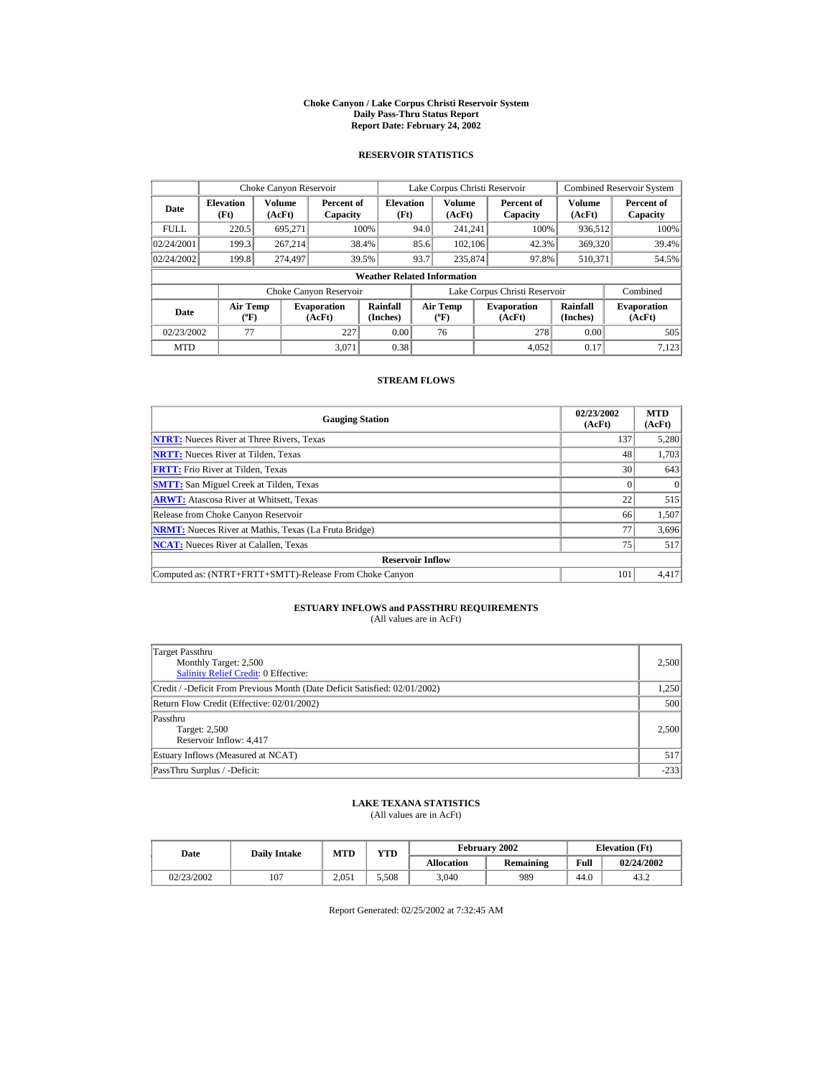#### **Choke Canyon / Lake Corpus Christi Reservoir System Daily Pass-Thru Status Report Report Date: February 24, 2002**

### **RESERVOIR STATISTICS**

|                                                                                     | Choke Canyon Reservoir   |                  |                        |                                    |      | Lake Corpus Christi Reservoir    |                               |                      | <b>Combined Reservoir System</b> |
|-------------------------------------------------------------------------------------|--------------------------|------------------|------------------------|------------------------------------|------|----------------------------------|-------------------------------|----------------------|----------------------------------|
| Date                                                                                | <b>Elevation</b><br>(Ft) | Volume<br>(AcFt) | Percent of<br>Capacity | <b>Elevation</b><br>(Ft)           |      | Volume<br>(AcFt)                 | Percent of<br>Capacity        | Volume<br>(AcFt)     | Percent of<br>Capacity           |
| <b>FULL</b>                                                                         | 220.5                    | 695.271          |                        | 100%                               | 94.0 | 241.241                          | 100%                          | 936,512              | 100%                             |
| 02/24/2001                                                                          | 199.3                    | 267.214          |                        | 38.4%                              | 85.6 | 102.106                          | 42.3%                         | 369,320              | 39.4%                            |
| 02/24/2002                                                                          | 199.8                    | 274,497          |                        | 39.5%                              | 93.7 | 235,874                          | 97.8%                         | 510.371              | 54.5%                            |
|                                                                                     |                          |                  |                        | <b>Weather Related Information</b> |      |                                  |                               |                      |                                  |
|                                                                                     |                          |                  | Choke Canyon Reservoir |                                    |      |                                  | Lake Corpus Christi Reservoir |                      | Combined                         |
| <b>Air Temp</b><br><b>Evaporation</b><br>Date<br>$({}^{\circ}\mathrm{F})$<br>(AcFt) |                          |                  |                        | Rainfall<br>(Inches)               |      | <b>Air Temp</b><br>$(^{\circ}F)$ | <b>Evaporation</b><br>(AcFt)  | Rainfall<br>(Inches) | <b>Evaporation</b><br>(AcFt)     |
| 02/23/2002                                                                          | 77                       |                  | 227                    | 0.00                               |      | 76                               | 278                           | 0.00                 | 505                              |
| <b>MTD</b>                                                                          |                          |                  | 3.071                  | 0.38                               |      |                                  | 4.052                         | 0.17                 | 7,123                            |

### **STREAM FLOWS**

| <b>Gauging Station</b>                                       | 02/23/2002<br>(AcFt) | <b>MTD</b><br>(AcFt) |
|--------------------------------------------------------------|----------------------|----------------------|
| <b>NTRT:</b> Nueces River at Three Rivers, Texas             | 137                  | 5,280                |
| <b>NRTT:</b> Nueces River at Tilden, Texas                   | 48                   | 1,703                |
| <b>FRTT:</b> Frio River at Tilden, Texas                     | 30                   | 643                  |
| <b>SMTT:</b> San Miguel Creek at Tilden, Texas               |                      | $\Omega$             |
| <b>ARWT:</b> Atascosa River at Whitsett, Texas               | 22                   | 515                  |
| Release from Choke Canyon Reservoir                          | 66                   | 1,507                |
| <b>NRMT:</b> Nueces River at Mathis, Texas (La Fruta Bridge) | 77                   | 3,696                |
| <b>NCAT:</b> Nueces River at Calallen, Texas                 | 75                   | 517                  |
| <b>Reservoir Inflow</b>                                      |                      |                      |
| Computed as: (NTRT+FRTT+SMTT)-Release From Choke Canyon      | 101                  | 4,417                |

# **ESTUARY INFLOWS and PASSTHRU REQUIREMENTS**<br>(All values are in AcFt)

| Target Passthru<br>Monthly Target: 2,500<br><b>Salinity Relief Credit: 0 Effective:</b> | 2,500  |
|-----------------------------------------------------------------------------------------|--------|
| Credit / -Deficit From Previous Month (Date Deficit Satisfied: 02/01/2002)              | 1,250  |
| Return Flow Credit (Effective: 02/01/2002)                                              | 500    |
| Passthru<br><b>Target: 2,500</b><br>Reservoir Inflow: 4,417                             | 2,500  |
| Estuary Inflows (Measured at NCAT)                                                      | 517    |
| PassThru Surplus / -Deficit:                                                            | $-233$ |

## **LAKE TEXANA STATISTICS**

(All values are in AcFt)

| Date       | <b>Daily Intake</b> |       | YTD<br><b>MTD</b> |                   | February 2002 | <b>Elevation</b> (Ft) |            |  |
|------------|---------------------|-------|-------------------|-------------------|---------------|-----------------------|------------|--|
|            |                     |       |                   | <b>Allocation</b> | Remaining     | Full                  | 02/24/2002 |  |
| 02/23/2002 | 107                 | 2.051 | 5.508             | 3.040             | 989           | 44.0                  | 43.2       |  |

Report Generated: 02/25/2002 at 7:32:45 AM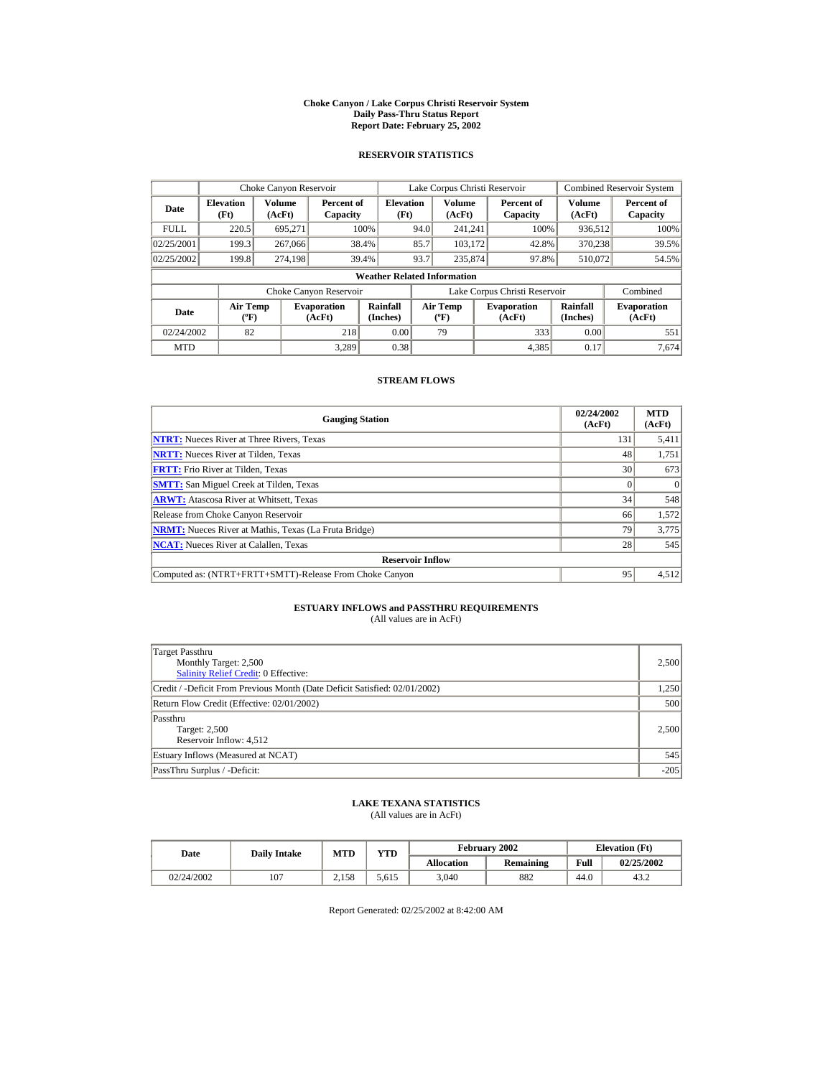#### **Choke Canyon / Lake Corpus Christi Reservoir System Daily Pass-Thru Status Report Report Date: February 25, 2002**

### **RESERVOIR STATISTICS**

|             | Choke Canyon Reservoir                      |                  |                              |                          | Lake Corpus Christi Reservoir |                                  |  |                               |                      | Combined Reservoir System    |  |  |
|-------------|---------------------------------------------|------------------|------------------------------|--------------------------|-------------------------------|----------------------------------|--|-------------------------------|----------------------|------------------------------|--|--|
| Date        | <b>Elevation</b><br>(Ft)                    | Volume<br>(AcFt) | Percent of<br>Capacity       | <b>Elevation</b><br>(Ft) |                               | Volume<br>(AcFt)                 |  | Percent of<br>Capacity        | Volume<br>(AcFt)     | Percent of<br>Capacity       |  |  |
| <b>FULL</b> | 220.5                                       | 695.271          |                              | 100%                     | 94.0                          | 241.241                          |  | 100%                          | 936,512              | 100%                         |  |  |
| 02/25/2001  | 199.3                                       | 267,066          |                              | 38.4%                    | 85.7                          | 103.172                          |  | 42.8%                         | 370.238              | 39.5%                        |  |  |
| 02/25/2002  | 199.8                                       | 274.198          |                              | 39.4%                    | 93.7                          | 235,874                          |  | 97.8%                         | 510,072              | 54.5%                        |  |  |
|             | <b>Weather Related Information</b>          |                  |                              |                          |                               |                                  |  |                               |                      |                              |  |  |
|             |                                             |                  | Choke Canyon Reservoir       |                          |                               |                                  |  | Lake Corpus Christi Reservoir |                      | Combined                     |  |  |
| Date        | <b>Air Temp</b><br>$({}^{\circ}\mathrm{F})$ |                  | <b>Evaporation</b><br>(AcFt) | Rainfall<br>(Inches)     |                               | <b>Air Temp</b><br>$(^{\circ}F)$ |  | <b>Evaporation</b><br>(AcFt)  | Rainfall<br>(Inches) | <b>Evaporation</b><br>(AcFt) |  |  |
| 02/24/2002  | 82                                          |                  | 218                          | 0.00                     |                               | 79                               |  | 333                           | 0.00                 | 551                          |  |  |
| <b>MTD</b>  |                                             |                  | 3.289                        | 0.38                     |                               |                                  |  | 4,385                         | 0.17                 | 7.674                        |  |  |

### **STREAM FLOWS**

| <b>Gauging Station</b>                                       | 02/24/2002<br>(AcFt) | <b>MTD</b><br>(AcFt) |
|--------------------------------------------------------------|----------------------|----------------------|
| <b>NTRT:</b> Nueces River at Three Rivers, Texas             | 131                  | 5,411                |
| <b>NRTT:</b> Nueces River at Tilden, Texas                   | 48                   | 1,751                |
| <b>FRTT:</b> Frio River at Tilden. Texas                     | 30                   | 673                  |
| <b>SMTT:</b> San Miguel Creek at Tilden, Texas               |                      | $\Omega$             |
| <b>ARWT:</b> Atascosa River at Whitsett, Texas               | 34                   | 548                  |
| Release from Choke Canyon Reservoir                          | 66                   | 1,572                |
| <b>NRMT:</b> Nueces River at Mathis, Texas (La Fruta Bridge) | 79                   | 3,775                |
| <b>NCAT:</b> Nueces River at Calallen, Texas                 | 28                   | 545                  |
| <b>Reservoir Inflow</b>                                      |                      |                      |
| Computed as: (NTRT+FRTT+SMTT)-Release From Choke Canyon      | 95                   | 4,512                |

# **ESTUARY INFLOWS and PASSTHRU REQUIREMENTS**<br>(All values are in AcFt)

| Target Passthru<br>Monthly Target: 2,500<br><b>Salinity Relief Credit: 0 Effective:</b> | 2,500  |
|-----------------------------------------------------------------------------------------|--------|
| Credit / -Deficit From Previous Month (Date Deficit Satisfied: 02/01/2002)              | 1,250  |
| Return Flow Credit (Effective: 02/01/2002)                                              | 500    |
| Passthru<br>Target: 2,500<br>Reservoir Inflow: 4,512                                    | 2.500  |
| Estuary Inflows (Measured at NCAT)                                                      | 545    |
| PassThru Surplus / -Deficit:                                                            | $-205$ |

## **LAKE TEXANA STATISTICS**

(All values are in AcFt)

| Date       | <b>Daily Intake</b> | <b>MTD</b> | YTD   |                   | February 2002 |      | <b>Elevation</b> (Ft) |
|------------|---------------------|------------|-------|-------------------|---------------|------|-----------------------|
|            |                     |            |       | <b>Allocation</b> | Remaining     | Full | 02/25/2002            |
| 02/24/2002 | 107                 | 2.158      | 5.615 | 3.040             | 882           | 44.0 | 43.2                  |

Report Generated: 02/25/2002 at 8:42:00 AM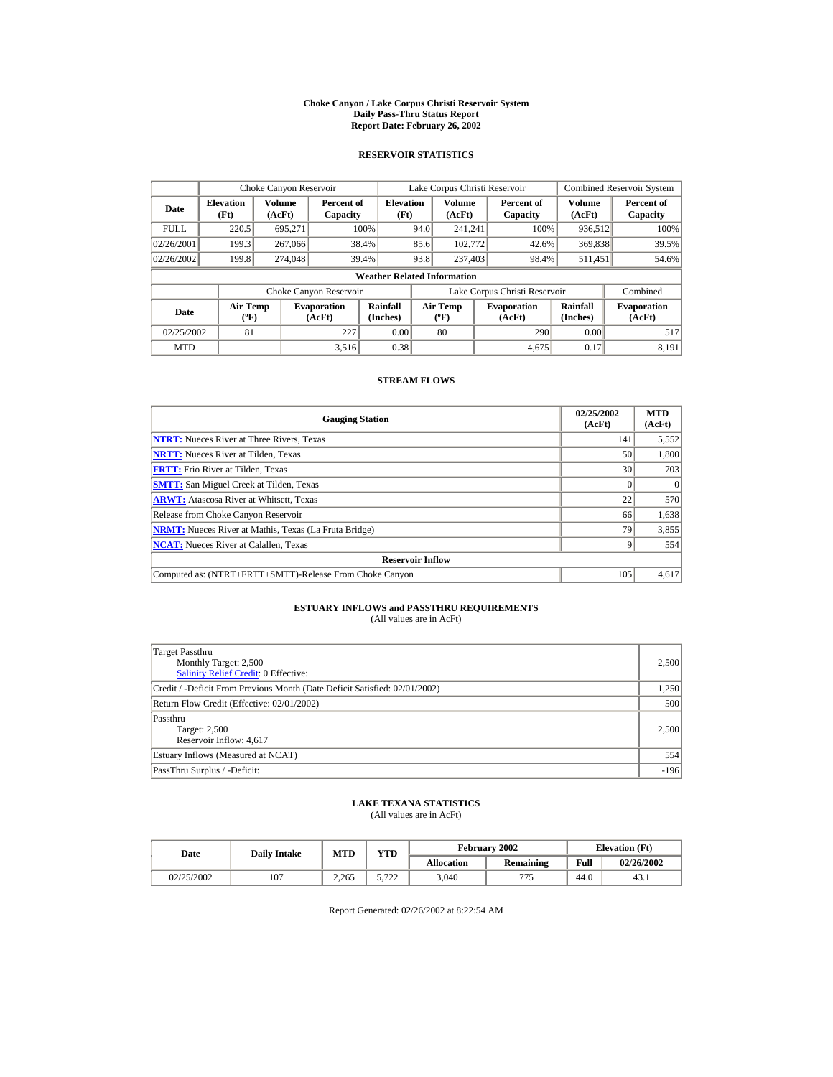#### **Choke Canyon / Lake Corpus Christi Reservoir System Daily Pass-Thru Status Report Report Date: February 26, 2002**

### **RESERVOIR STATISTICS**

|             | Choke Canyon Reservoir                      |                  |                              |                          | Lake Corpus Christi Reservoir |                                  |  |                               |                      | Combined Reservoir System    |  |  |
|-------------|---------------------------------------------|------------------|------------------------------|--------------------------|-------------------------------|----------------------------------|--|-------------------------------|----------------------|------------------------------|--|--|
| Date        | <b>Elevation</b><br>(Ft)                    | Volume<br>(AcFt) | Percent of<br>Capacity       | <b>Elevation</b><br>(Ft) |                               | Volume<br>(AcFt)                 |  | Percent of<br>Capacity        | Volume<br>(AcFt)     | Percent of<br>Capacity       |  |  |
| <b>FULL</b> | 220.5                                       | 695.271          |                              | 100%                     | 94.0                          | 241.241                          |  | 100%                          | 936,512              | 100%                         |  |  |
| 02/26/2001  | 199.3                                       | 267,066          |                              | 38.4%                    | 85.6                          | 102,772                          |  | 42.6%                         | 369,838              | 39.5%                        |  |  |
| 02/26/2002  | 199.8                                       | 274,048          |                              | 39.4%                    | 93.8                          | 237,403                          |  | 98.4%                         | 511,451              | 54.6%                        |  |  |
|             | <b>Weather Related Information</b>          |                  |                              |                          |                               |                                  |  |                               |                      |                              |  |  |
|             |                                             |                  | Choke Canyon Reservoir       |                          |                               |                                  |  | Lake Corpus Christi Reservoir |                      | Combined                     |  |  |
| Date        | <b>Air Temp</b><br>$({}^{\circ}\mathrm{F})$ |                  | <b>Evaporation</b><br>(AcFt) | Rainfall<br>(Inches)     |                               | <b>Air Temp</b><br>$(^{\circ}F)$ |  | <b>Evaporation</b><br>(AcFt)  | Rainfall<br>(Inches) | <b>Evaporation</b><br>(AcFt) |  |  |
| 02/25/2002  | 81                                          |                  | 227                          | 0.00                     |                               | 80                               |  | 290                           | 0.00                 | 517                          |  |  |
| <b>MTD</b>  |                                             |                  | 3.516                        | 0.38                     |                               |                                  |  | 4.675                         | 0.17                 | 8.191                        |  |  |

### **STREAM FLOWS**

| <b>Gauging Station</b>                                       | 02/25/2002<br>(AcFt) | <b>MTD</b><br>(AcFt) |
|--------------------------------------------------------------|----------------------|----------------------|
| <b>NTRT:</b> Nueces River at Three Rivers, Texas             | 141                  | 5,552                |
| <b>NRTT:</b> Nueces River at Tilden, Texas                   | 50                   | 1,800                |
| <b>FRTT:</b> Frio River at Tilden, Texas                     | 30                   | 703                  |
| <b>SMTT:</b> San Miguel Creek at Tilden, Texas               |                      | $\Omega$             |
| <b>ARWT:</b> Atascosa River at Whitsett, Texas               | 22                   | 570                  |
| Release from Choke Canyon Reservoir                          | 66                   | 1,638                |
| <b>NRMT:</b> Nueces River at Mathis, Texas (La Fruta Bridge) | 79                   | 3,855                |
| <b>NCAT:</b> Nueces River at Calallen, Texas                 |                      | 554                  |
| <b>Reservoir Inflow</b>                                      |                      |                      |
| Computed as: (NTRT+FRTT+SMTT)-Release From Choke Canyon      | 105                  | 4,617                |

# **ESTUARY INFLOWS and PASSTHRU REQUIREMENTS**<br>(All values are in AcFt)

| Target Passthru<br>Monthly Target: 2,500<br><b>Salinity Relief Credit: 0 Effective:</b> | 2,500  |
|-----------------------------------------------------------------------------------------|--------|
| Credit / -Deficit From Previous Month (Date Deficit Satisfied: 02/01/2002)              | 1,250  |
| Return Flow Credit (Effective: 02/01/2002)                                              | 500    |
| Passthru<br>Target: 2,500<br>Reservoir Inflow: 4,617                                    | 2.500  |
| Estuary Inflows (Measured at NCAT)                                                      | 554    |
| PassThru Surplus / -Deficit:                                                            | $-196$ |

## **LAKE TEXANA STATISTICS**

(All values are in AcFt)

| Date       | <b>Daily Intake</b> | <b>MTD</b> | $\mathbf{v}\mathbf{T}\mathbf{D}$ |                   | February 2002 | <b>Elevation</b> (Ft) |            |
|------------|---------------------|------------|----------------------------------|-------------------|---------------|-----------------------|------------|
|            |                     |            |                                  | <b>Allocation</b> | Remaining     | Full                  | 02/26/2002 |
| 02/25/2002 | 107                 | 2.265      | ר מי<br>ے ر                      | 3,040             | 775           | 44.0                  | 43.1       |

Report Generated: 02/26/2002 at 8:22:54 AM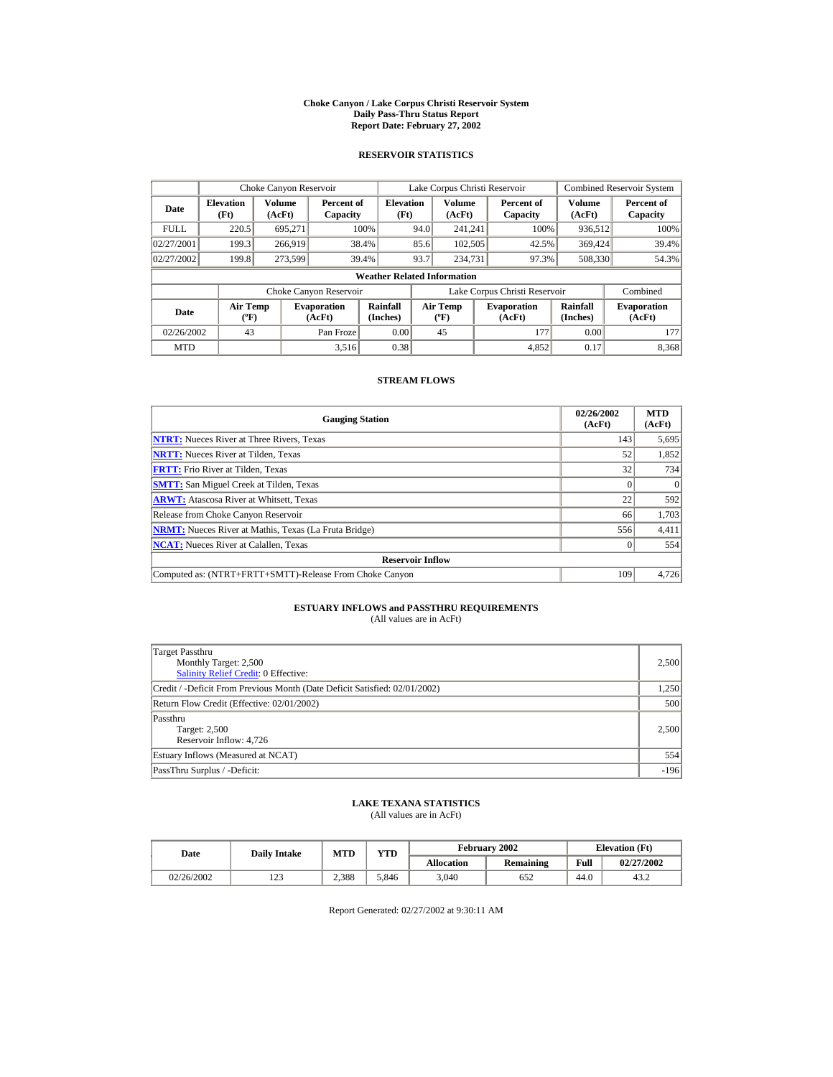#### **Choke Canyon / Lake Corpus Christi Reservoir System Daily Pass-Thru Status Report Report Date: February 27, 2002**

### **RESERVOIR STATISTICS**

|             | Choke Canyon Reservoir                      |                  |                              |                          |      | Lake Corpus Christi Reservoir             |  |                               |                         | <b>Combined Reservoir System</b> |  |  |
|-------------|---------------------------------------------|------------------|------------------------------|--------------------------|------|-------------------------------------------|--|-------------------------------|-------------------------|----------------------------------|--|--|
| Date        | <b>Elevation</b><br>(Ft)                    | Volume<br>(AcFt) | Percent of<br>Capacity       | <b>Elevation</b><br>(Ft) |      | Volume<br>(AcFt)                          |  | Percent of<br>Capacity        | <b>Volume</b><br>(AcFt) | Percent of<br>Capacity           |  |  |
| <b>FULL</b> | 220.5                                       | 695,271          |                              | 100%                     | 94.0 | 241.241                                   |  | 100%                          | 936,512                 | 100%                             |  |  |
| 02/27/2001  | 199.3                                       | 266,919          |                              | 38.4%                    | 85.6 | 102,505                                   |  | 42.5%                         | 369,424                 | 39.4%                            |  |  |
| 02/27/2002  | 199.8                                       | 273,599          |                              | 39.4%                    | 93.7 | 234,731                                   |  | 97.3%                         | 508,330                 | 54.3%                            |  |  |
|             | <b>Weather Related Information</b>          |                  |                              |                          |      |                                           |  |                               |                         |                                  |  |  |
|             |                                             |                  | Choke Canyon Reservoir       |                          |      |                                           |  | Lake Corpus Christi Reservoir |                         | Combined                         |  |  |
| Date        | <b>Air Temp</b><br>$({}^{\circ}\mathrm{F})$ |                  | <b>Evaporation</b><br>(AcFt) | Rainfall<br>(Inches)     |      | <b>Air Temp</b><br>$({}^{\circ}\text{F})$ |  | <b>Evaporation</b><br>(AcFt)  | Rainfall<br>(Inches)    | <b>Evaporation</b><br>(AcFt)     |  |  |
| 02/26/2002  | 43                                          |                  | Pan Froze                    | 0.00                     |      | 45                                        |  | 177                           | 0.00                    | 177                              |  |  |
| <b>MTD</b>  |                                             |                  | 3.516                        | 0.38                     |      |                                           |  | 4.852                         | 0.17                    | 8,368                            |  |  |

### **STREAM FLOWS**

| <b>Gauging Station</b>                                       | 02/26/2002<br>(AcFt) | <b>MTD</b><br>(AcFt) |
|--------------------------------------------------------------|----------------------|----------------------|
| <b>NTRT:</b> Nueces River at Three Rivers, Texas             | 143                  | 5,695                |
| <b>NRTT:</b> Nueces River at Tilden, Texas                   | 52                   | 1,852                |
| <b>FRTT:</b> Frio River at Tilden, Texas                     | 32                   | 734                  |
| <b>SMTT:</b> San Miguel Creek at Tilden, Texas               |                      | $\Omega$             |
| <b>ARWT:</b> Atascosa River at Whitsett, Texas               | 22                   | 592                  |
| Release from Choke Canyon Reservoir                          | 66                   | 1,703                |
| <b>NRMT:</b> Nueces River at Mathis, Texas (La Fruta Bridge) | 556                  | 4,411                |
| <b>NCAT:</b> Nueces River at Calallen, Texas                 |                      | 554                  |
| <b>Reservoir Inflow</b>                                      |                      |                      |
| Computed as: (NTRT+FRTT+SMTT)-Release From Choke Canyon      | 109                  | 4,726                |

# **ESTUARY INFLOWS and PASSTHRU REQUIREMENTS**<br>(All values are in AcFt)

| Target Passthru<br>Monthly Target: 2,500<br><b>Salinity Relief Credit: 0 Effective:</b> | 2,500  |
|-----------------------------------------------------------------------------------------|--------|
| Credit / -Deficit From Previous Month (Date Deficit Satisfied: 02/01/2002)              | 1,250  |
| Return Flow Credit (Effective: 02/01/2002)                                              | 500    |
| Passthru<br>Target: 2,500<br>Reservoir Inflow: 4,726                                    | 2.500  |
| Estuary Inflows (Measured at NCAT)                                                      | 554    |
| PassThru Surplus / -Deficit:                                                            | $-196$ |

## **LAKE TEXANA STATISTICS**

(All values are in AcFt)

| Date       | <b>Daily Intake</b> | <b>MTD</b> | $\mathbf{v}\mathbf{T}\mathbf{D}$ |                   | February 2002 |      | <b>Elevation</b> (Ft) |
|------------|---------------------|------------|----------------------------------|-------------------|---------------|------|-----------------------|
|            |                     |            |                                  | <b>Allocation</b> | Remaining     | Full | 02/27/2002            |
| 02/26/2002 | $\sim$<br>129       | 2.388      | 5.846                            | 3,040             | 652           | 44.0 | 43.2                  |

Report Generated: 02/27/2002 at 9:30:11 AM